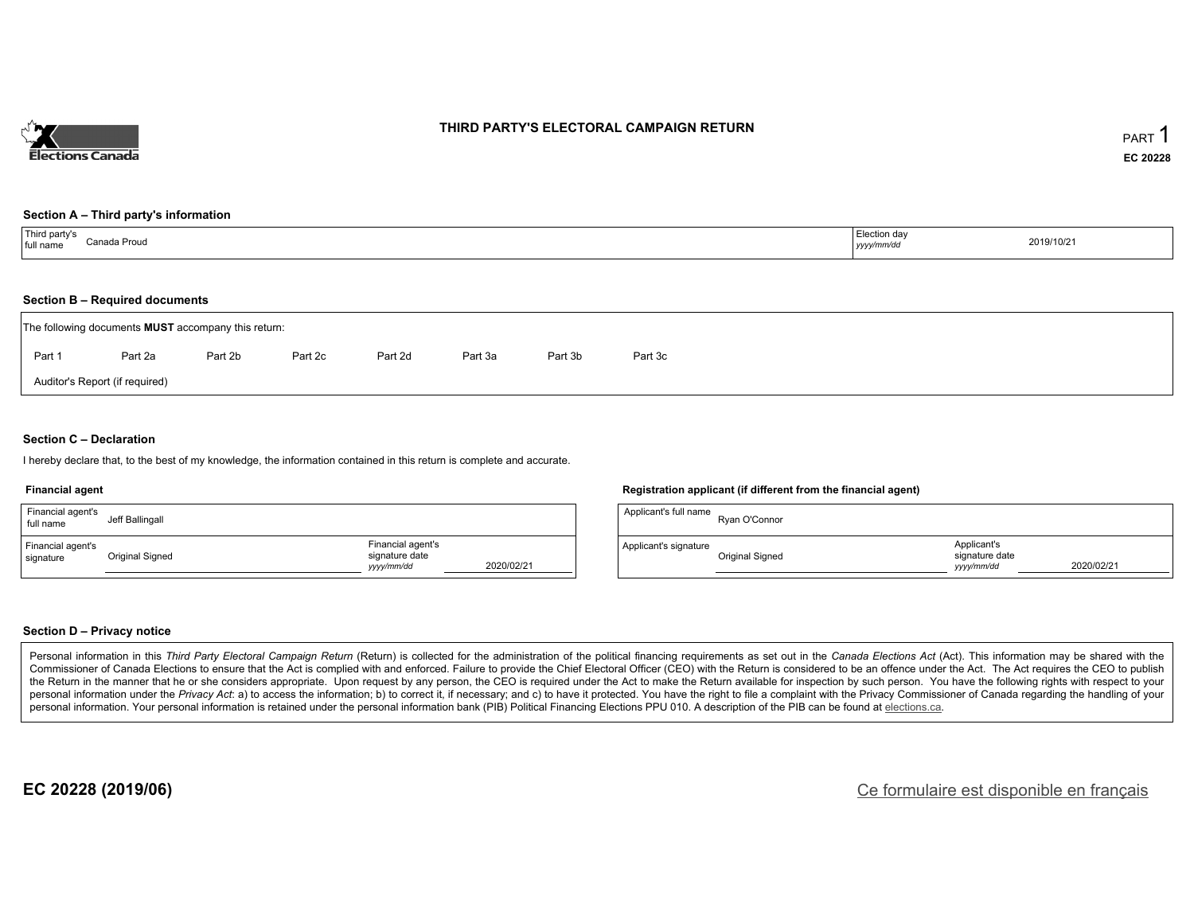

#### **THIRD PARTY'S ELECTORAL CAMPAIGN RETURN**

#### **Section A – Third party's information**

| Third party's<br>full name<br>Canada Proud | Election dav<br>2019/10/21<br>yyyy/mm/dd |  |
|--------------------------------------------|------------------------------------------|--|
|--------------------------------------------|------------------------------------------|--|

#### **Section B – Required documents**

|                                | The following documents <b>MUST</b> accompany this return: |         |         |         |         |         |         |  |  |  |  |
|--------------------------------|------------------------------------------------------------|---------|---------|---------|---------|---------|---------|--|--|--|--|
| Part 1                         | Part 2a                                                    | Part 2b | Part 2c | Part 2d | Part 3a | Part 3b | Part 3c |  |  |  |  |
| Auditor's Report (if required) |                                                            |         |         |         |         |         |         |  |  |  |  |

#### **Section C – Declaration**

I hereby declare that, to the best of my knowledge, the information contained in this return is complete and accurate.

#### **Financial agent**

| Financial agent's<br>full name | Jeff Ballingall |                                                                 | App  |
|--------------------------------|-----------------|-----------------------------------------------------------------|------|
| Financial agent's<br>signature | Original Signed | Financial agent's<br>signature date<br>2020/02/21<br>yyyy/mm/dd | Appl |

#### **Registration applicant (if different from the financial agent)**

| Applicant's full name | Ryan O'Connor   |                                             |            |
|-----------------------|-----------------|---------------------------------------------|------------|
| Applicant's signature | Original Signed | Applicant's<br>signature date<br>vyyy/mm/dd | 2020/02/21 |

#### **Section D – Privacy notice**

Personal information in this Third Party Electoral Campaign Return (Return) is collected for the administration of the political financing requirements as set out in the Canada Elections Act (Act). This information may be Commissioner of Canada Elections to ensure that the Act is complied with and enforced. Failure to provide the Chief Electoral Officer (CEO) with the Return is considered to be an offence under the Act. The Act requires the the Return in the manner that he or she considers appropriate. Upon request by any person, the CEO is required under the Act to make the Return available for inspection by such person. You have the following rights with re personal information under the Privacy Act: a) to access the information; b) to correct it, if necessary; and c) to have it protected. You have the right to file a complaint with the Privacy Commissioner of Canada regardin personal information. Your personal information is retained under the personal information bank (PIB) Political Financing Elections PPU 010. A description of the PIB can be found at elections.ca.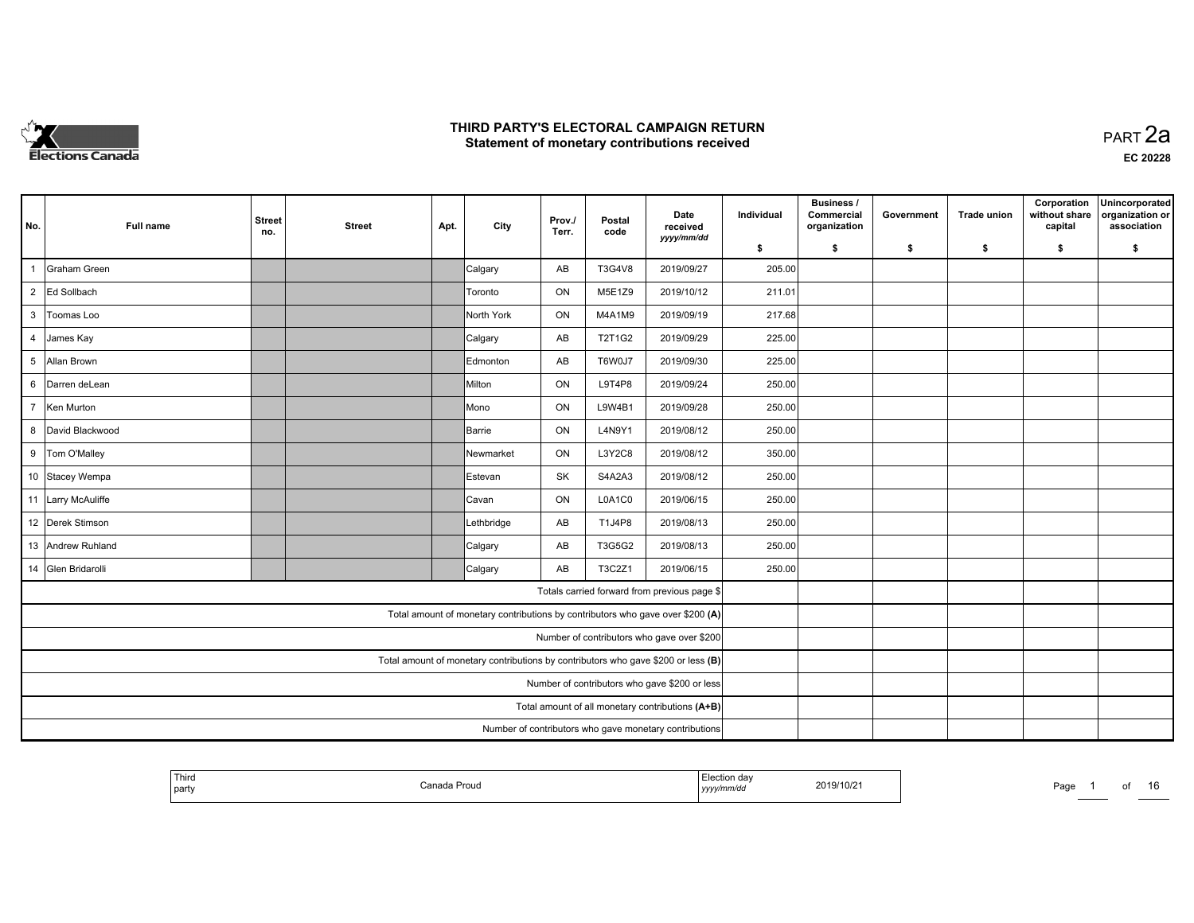

| No.                                           | Full name                                              | <b>Street</b><br>no. | <b>Street</b> | Apt. | City         | Prov./<br>Terr. | Postal<br>code | Date<br>received<br>yyyy/mm/dd                                                    | Individual | <b>Business /</b><br>Commercial<br>organization | Government | <b>Trade union</b> | Corporation<br>without share<br>capital | Unincorporated<br>organization or<br>association |
|-----------------------------------------------|--------------------------------------------------------|----------------------|---------------|------|--------------|-----------------|----------------|-----------------------------------------------------------------------------------|------------|-------------------------------------------------|------------|--------------------|-----------------------------------------|--------------------------------------------------|
|                                               |                                                        |                      |               |      |              |                 |                |                                                                                   | \$         | s.                                              | -\$        | -\$                | \$                                      | \$                                               |
| $\overline{1}$                                | <b>Graham Green</b>                                    |                      |               |      | Calgary      | AB              | T3G4V8         | 2019/09/27                                                                        | 205.00     |                                                 |            |                    |                                         |                                                  |
| $\overline{2}$                                | Ed Sollbach                                            |                      |               |      | Toronto      | ON              | M5E1Z9         | 2019/10/12                                                                        | 211.01     |                                                 |            |                    |                                         |                                                  |
| 3                                             | Toomas Loo                                             |                      |               |      | North York   | ON              | M4A1M9         | 2019/09/19                                                                        | 217.68     |                                                 |            |                    |                                         |                                                  |
| $\overline{4}$                                | James Kay                                              |                      |               |      | Calgary      | AB              | T2T1G2         | 2019/09/29                                                                        | 225.00     |                                                 |            |                    |                                         |                                                  |
| 5                                             | Allan Brown                                            |                      |               |      | Edmonton     | AB              | T6W0J7         | 2019/09/30                                                                        | 225.00     |                                                 |            |                    |                                         |                                                  |
| 6                                             | Darren deLean                                          |                      |               |      | Milton       | ON              | L9T4P8         | 2019/09/24                                                                        | 250.00     |                                                 |            |                    |                                         |                                                  |
| $\overline{7}$                                | Ken Murton                                             |                      |               |      | Mono         | ON              | L9W4B1         | 2019/09/28                                                                        | 250.00     |                                                 |            |                    |                                         |                                                  |
| 8                                             | David Blackwood                                        |                      |               |      | Barrie       | ON              | L4N9Y1         | 2019/08/12                                                                        | 250.00     |                                                 |            |                    |                                         |                                                  |
|                                               | 9 Tom O'Malley                                         |                      |               |      | Newmarket    | ON              | L3Y2C8         | 2019/08/12                                                                        | 350.00     |                                                 |            |                    |                                         |                                                  |
|                                               | 10 Stacey Wempa                                        |                      |               |      | Estevan      | <b>SK</b>       | S4A2A3         | 2019/08/12                                                                        | 250.00     |                                                 |            |                    |                                         |                                                  |
|                                               | 11 Larry McAuliffe                                     |                      |               |      | <b>Cavan</b> | ON              | L0A1C0         | 2019/06/15                                                                        | 250.00     |                                                 |            |                    |                                         |                                                  |
|                                               | 12 Derek Stimson                                       |                      |               |      | Lethbridge   | AB              | T1J4P8         | 2019/08/13                                                                        | 250.00     |                                                 |            |                    |                                         |                                                  |
|                                               | 13 Andrew Ruhland                                      |                      |               |      | Calgary      | AB              | T3G5G2         | 2019/08/13                                                                        | 250.00     |                                                 |            |                    |                                         |                                                  |
|                                               | 14 Glen Bridarolli                                     |                      |               |      | Calgary      | AB              | T3C2Z1         | 2019/06/15                                                                        | 250.00     |                                                 |            |                    |                                         |                                                  |
|                                               |                                                        |                      |               |      |              |                 |                | Totals carried forward from previous page \$                                      |            |                                                 |            |                    |                                         |                                                  |
|                                               |                                                        |                      |               |      |              |                 |                | Total amount of monetary contributions by contributors who gave over \$200 (A)    |            |                                                 |            |                    |                                         |                                                  |
|                                               |                                                        |                      |               |      |              |                 |                | Number of contributors who gave over \$200                                        |            |                                                 |            |                    |                                         |                                                  |
|                                               |                                                        |                      |               |      |              |                 |                | Total amount of monetary contributions by contributors who gave \$200 or less (B) |            |                                                 |            |                    |                                         |                                                  |
| Number of contributors who gave \$200 or less |                                                        |                      |               |      |              |                 |                |                                                                                   |            |                                                 |            |                    |                                         |                                                  |
|                                               |                                                        |                      |               |      |              |                 |                | Total amount of all monetary contributions (A+B)                                  |            |                                                 |            |                    |                                         |                                                  |
|                                               | Number of contributors who gave monetary contributions |                      |               |      |              |                 |                |                                                                                   |            |                                                 |            |                    |                                         |                                                  |

| <sup>1</sup> Thiro<br>  part | Canada Proud∶ | ection day<br>yyyy/mm/dd | 2019/10/21 | Page | റെ |  |
|------------------------------|---------------|--------------------------|------------|------|----|--|
|                              |               |                          |            |      |    |  |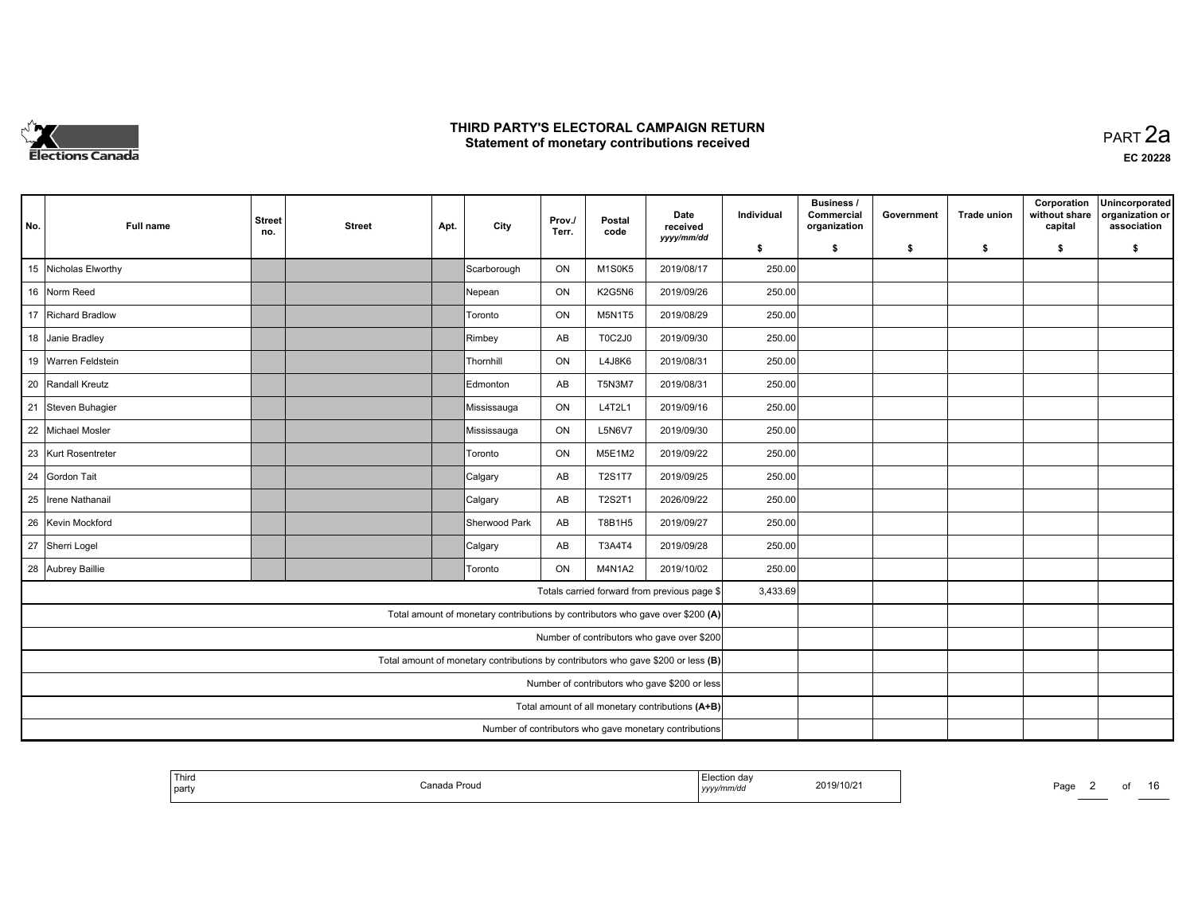

**EC 20228**

| No.                                           | Full name                                              | <b>Street</b><br>no. | <b>Street</b> | Apt. | City                                                                              | Prov./<br>Terr. | Postal<br>code | Date<br>received<br>yyyy/mm/dd                   | Individual | <b>Business /</b><br>Commercial<br>organization | Government | <b>Trade union</b> | Corporation<br>without share<br>capital | Unincorporated<br>organization or<br>association |
|-----------------------------------------------|--------------------------------------------------------|----------------------|---------------|------|-----------------------------------------------------------------------------------|-----------------|----------------|--------------------------------------------------|------------|-------------------------------------------------|------------|--------------------|-----------------------------------------|--------------------------------------------------|
|                                               |                                                        |                      |               |      |                                                                                   |                 |                |                                                  | \$         | s.                                              | -\$        | -\$                | \$                                      | \$                                               |
|                                               | 15 Nicholas Elworthy                                   |                      |               |      | Scarborough                                                                       | ON              | M1S0K5         | 2019/08/17                                       | 250.00     |                                                 |            |                    |                                         |                                                  |
|                                               | 16 Norm Reed                                           |                      |               |      | Nepean                                                                            | ON              | K2G5N6         | 2019/09/26                                       | 250.00     |                                                 |            |                    |                                         |                                                  |
|                                               | 17 Richard Bradlow                                     |                      |               |      | Toronto                                                                           | ON              | <b>M5N1T5</b>  | 2019/08/29                                       | 250.00     |                                                 |            |                    |                                         |                                                  |
|                                               | 18 Janie Bradley                                       |                      |               |      | Rimbey                                                                            | AB              | T0C2J0         | 2019/09/30                                       | 250.00     |                                                 |            |                    |                                         |                                                  |
|                                               | 19 Warren Feldstein                                    |                      |               |      | Thornhill                                                                         | ON              | L4J8K6         | 2019/08/31                                       | 250.00     |                                                 |            |                    |                                         |                                                  |
|                                               | 20 Randall Kreutz                                      |                      |               |      | Edmonton                                                                          | AB              | <b>T5N3M7</b>  | 2019/08/31                                       | 250.00     |                                                 |            |                    |                                         |                                                  |
|                                               | 21 Steven Buhagier                                     |                      |               |      | Mississauga                                                                       | ON              | L4T2L1         | 2019/09/16                                       | 250.00     |                                                 |            |                    |                                         |                                                  |
|                                               | 22 Michael Mosler                                      |                      |               |      | Mississauga                                                                       | ON              | <b>L5N6V7</b>  | 2019/09/30                                       | 250.00     |                                                 |            |                    |                                         |                                                  |
|                                               | 23 Kurt Rosentreter                                    |                      |               |      | Toronto                                                                           | ON              | M5E1M2         | 2019/09/22                                       | 250.00     |                                                 |            |                    |                                         |                                                  |
|                                               | 24 Gordon Tait                                         |                      |               |      | Calgary                                                                           | AB              | <b>T2S1T7</b>  | 2019/09/25                                       | 250.00     |                                                 |            |                    |                                         |                                                  |
| 25                                            | Irene Nathanail                                        |                      |               |      | Calgary                                                                           | AB              | <b>T2S2T1</b>  | 2026/09/22                                       | 250.00     |                                                 |            |                    |                                         |                                                  |
|                                               | 26 Kevin Mockford                                      |                      |               |      | Sherwood Park                                                                     | AB              | T8B1H5         | 2019/09/27                                       | 250.00     |                                                 |            |                    |                                         |                                                  |
|                                               | 27 Sherri Logel                                        |                      |               |      | Calgary                                                                           | AB              | T3A4T4         | 2019/09/28                                       | 250.00     |                                                 |            |                    |                                         |                                                  |
|                                               | 28 Aubrey Baillie                                      |                      |               |      | Toronto                                                                           | ON              | <b>M4N1A2</b>  | 2019/10/02                                       | 250.00     |                                                 |            |                    |                                         |                                                  |
|                                               |                                                        |                      |               |      |                                                                                   |                 |                | Totals carried forward from previous page \$     | 3,433.69   |                                                 |            |                    |                                         |                                                  |
|                                               |                                                        |                      |               |      | Total amount of monetary contributions by contributors who gave over \$200 (A)    |                 |                |                                                  |            |                                                 |            |                    |                                         |                                                  |
|                                               |                                                        |                      |               |      |                                                                                   |                 |                | Number of contributors who gave over \$200       |            |                                                 |            |                    |                                         |                                                  |
|                                               |                                                        |                      |               |      | Total amount of monetary contributions by contributors who gave \$200 or less (B) |                 |                |                                                  |            |                                                 |            |                    |                                         |                                                  |
| Number of contributors who gave \$200 or less |                                                        |                      |               |      |                                                                                   |                 |                |                                                  |            |                                                 |            |                    |                                         |                                                  |
|                                               |                                                        |                      |               |      |                                                                                   |                 |                | Total amount of all monetary contributions (A+B) |            |                                                 |            |                    |                                         |                                                  |
|                                               | Number of contributors who gave monetary contributions |                      |               |      |                                                                                   |                 |                |                                                  |            |                                                 |            |                    |                                         |                                                  |

| l part | ' Third | Canada<br>da Proud | Election dav<br>.<br>yyyy/mm/dd | 2019/10/21 | Pagu                     |
|--------|---------|--------------------|---------------------------------|------------|--------------------------|
|        |         |                    |                                 |            | $\overline{\phantom{0}}$ |

*yyyy/mm/dd* 2019/10/21 Page <sup>2</sup> of <sup>16</sup>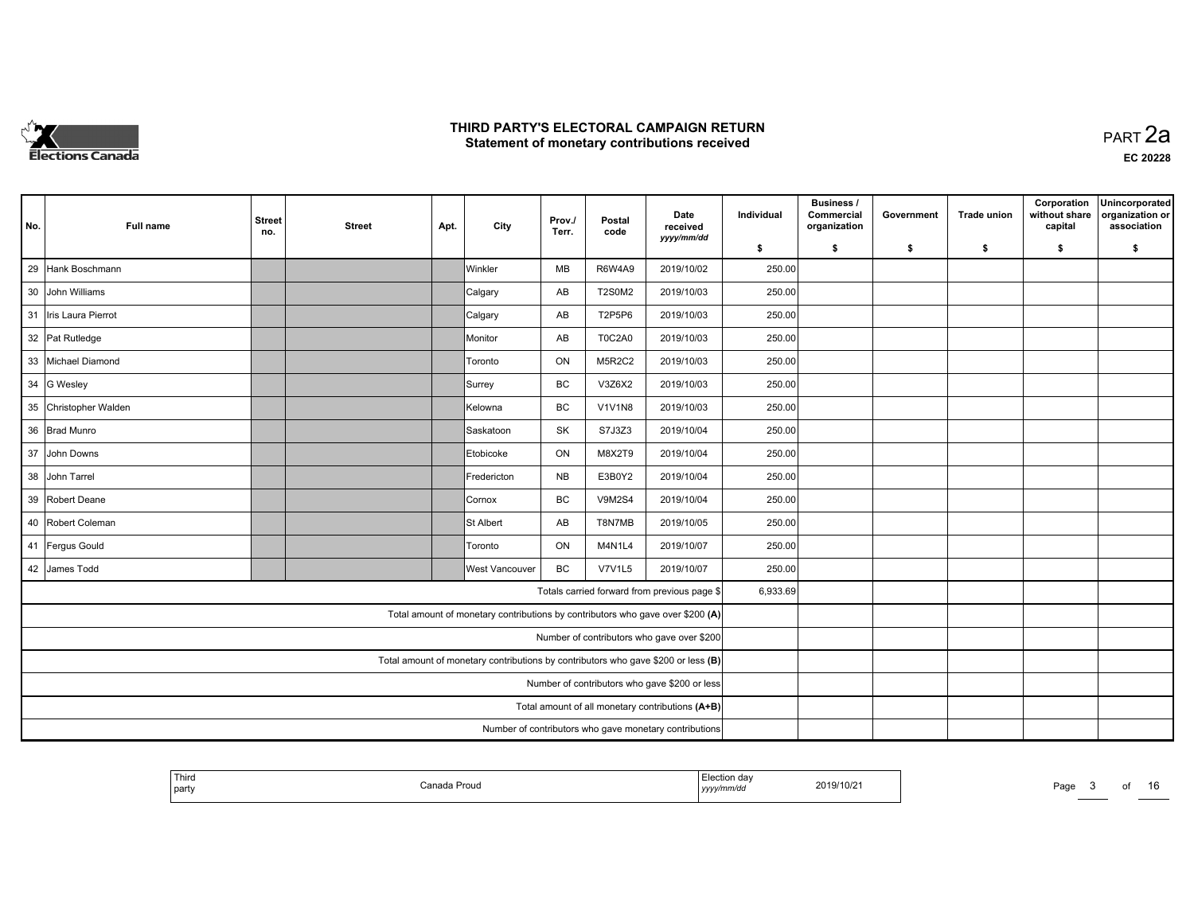

| No.                                           | Full name                                              | <b>Street</b><br>no. | <b>Street</b> | Apt. | City                                                                              | Prov./<br>Terr. | Postal<br>code | Date<br>received<br>yyyy/mm/dd                   | Individual | <b>Business /</b><br>Commercial<br>organization | Government | <b>Trade union</b> | Corporation<br>without share<br>capital | Unincorporated<br>organization or<br>association |
|-----------------------------------------------|--------------------------------------------------------|----------------------|---------------|------|-----------------------------------------------------------------------------------|-----------------|----------------|--------------------------------------------------|------------|-------------------------------------------------|------------|--------------------|-----------------------------------------|--------------------------------------------------|
|                                               |                                                        |                      |               |      |                                                                                   |                 |                |                                                  | \$         | s.                                              | -\$        | -\$                | \$                                      | \$                                               |
| 29                                            | Hank Boschmann                                         |                      |               |      | <b>Winkler</b>                                                                    | MB              | <b>R6W4A9</b>  | 2019/10/02                                       | 250.00     |                                                 |            |                    |                                         |                                                  |
|                                               | 30 John Williams                                       |                      |               |      | Calgary                                                                           | AB              | <b>T2S0M2</b>  | 2019/10/03                                       | 250.00     |                                                 |            |                    |                                         |                                                  |
|                                               | 31 Iris Laura Pierrot                                  |                      |               |      | Calgary                                                                           | AB              | T2P5P6         | 2019/10/03                                       | 250.00     |                                                 |            |                    |                                         |                                                  |
|                                               | 32 Pat Rutledge                                        |                      |               |      | Monitor                                                                           | AB              | <b>T0C2A0</b>  | 2019/10/03                                       | 250.00     |                                                 |            |                    |                                         |                                                  |
|                                               | 33 Michael Diamond                                     |                      |               |      | Toronto                                                                           | ON              | <b>M5R2C2</b>  | 2019/10/03                                       | 250.00     |                                                 |            |                    |                                         |                                                  |
|                                               | 34 G Wesley                                            |                      |               |      | Surrey                                                                            | <b>BC</b>       | V3Z6X2         | 2019/10/03                                       | 250.00     |                                                 |            |                    |                                         |                                                  |
|                                               | 35 Christopher Walden                                  |                      |               |      | Kelowna                                                                           | BC              | <b>V1V1N8</b>  | 2019/10/03                                       | 250.00     |                                                 |            |                    |                                         |                                                  |
|                                               | 36 Brad Munro                                          |                      |               |      | Saskatoon                                                                         | SK              | S7J3Z3         | 2019/10/04                                       | 250.00     |                                                 |            |                    |                                         |                                                  |
|                                               | 37 John Downs                                          |                      |               |      | Etobicoke                                                                         | ON              | M8X2T9         | 2019/10/04                                       | 250.00     |                                                 |            |                    |                                         |                                                  |
|                                               | 38 John Tarrel                                         |                      |               |      | Fredericton                                                                       | <b>NB</b>       | E3B0Y2         | 2019/10/04                                       | 250.00     |                                                 |            |                    |                                         |                                                  |
|                                               | 39 Robert Deane                                        |                      |               |      | Cornox                                                                            | BC              | <b>V9M2S4</b>  | 2019/10/04                                       | 250.00     |                                                 |            |                    |                                         |                                                  |
|                                               | 40 Robert Coleman                                      |                      |               |      | St Albert                                                                         | AB              | T8N7MB         | 2019/10/05                                       | 250.00     |                                                 |            |                    |                                         |                                                  |
|                                               | 41 Fergus Gould                                        |                      |               |      | Toronto                                                                           | ON              | M4N1L4         | 2019/10/07                                       | 250.00     |                                                 |            |                    |                                         |                                                  |
|                                               | 42 James Todd                                          |                      |               |      | <b>West Vancouver</b>                                                             | BC              | V7V1L5         | 2019/10/07                                       | 250.00     |                                                 |            |                    |                                         |                                                  |
|                                               |                                                        |                      |               |      |                                                                                   |                 |                | Totals carried forward from previous page \$     | 6,933.69   |                                                 |            |                    |                                         |                                                  |
|                                               |                                                        |                      |               |      | Total amount of monetary contributions by contributors who gave over \$200 (A)    |                 |                |                                                  |            |                                                 |            |                    |                                         |                                                  |
|                                               |                                                        |                      |               |      |                                                                                   |                 |                | Number of contributors who gave over \$200       |            |                                                 |            |                    |                                         |                                                  |
|                                               |                                                        |                      |               |      | Total amount of monetary contributions by contributors who gave \$200 or less (B) |                 |                |                                                  |            |                                                 |            |                    |                                         |                                                  |
| Number of contributors who gave \$200 or less |                                                        |                      |               |      |                                                                                   |                 |                |                                                  |            |                                                 |            |                    |                                         |                                                  |
|                                               |                                                        |                      |               |      |                                                                                   |                 |                | Total amount of all monetary contributions (A+B) |            |                                                 |            |                    |                                         |                                                  |
|                                               | Number of contributors who gave monetary contributions |                      |               |      |                                                                                   |                 |                |                                                  |            |                                                 |            |                    |                                         |                                                  |

| <sup>1</sup> Third<br>  part | Canada Proud∶ | ection day<br>  yyyy/mm/aa | 2019/10/21 | Page | റെ |  |
|------------------------------|---------------|----------------------------|------------|------|----|--|
|                              |               |                            |            |      |    |  |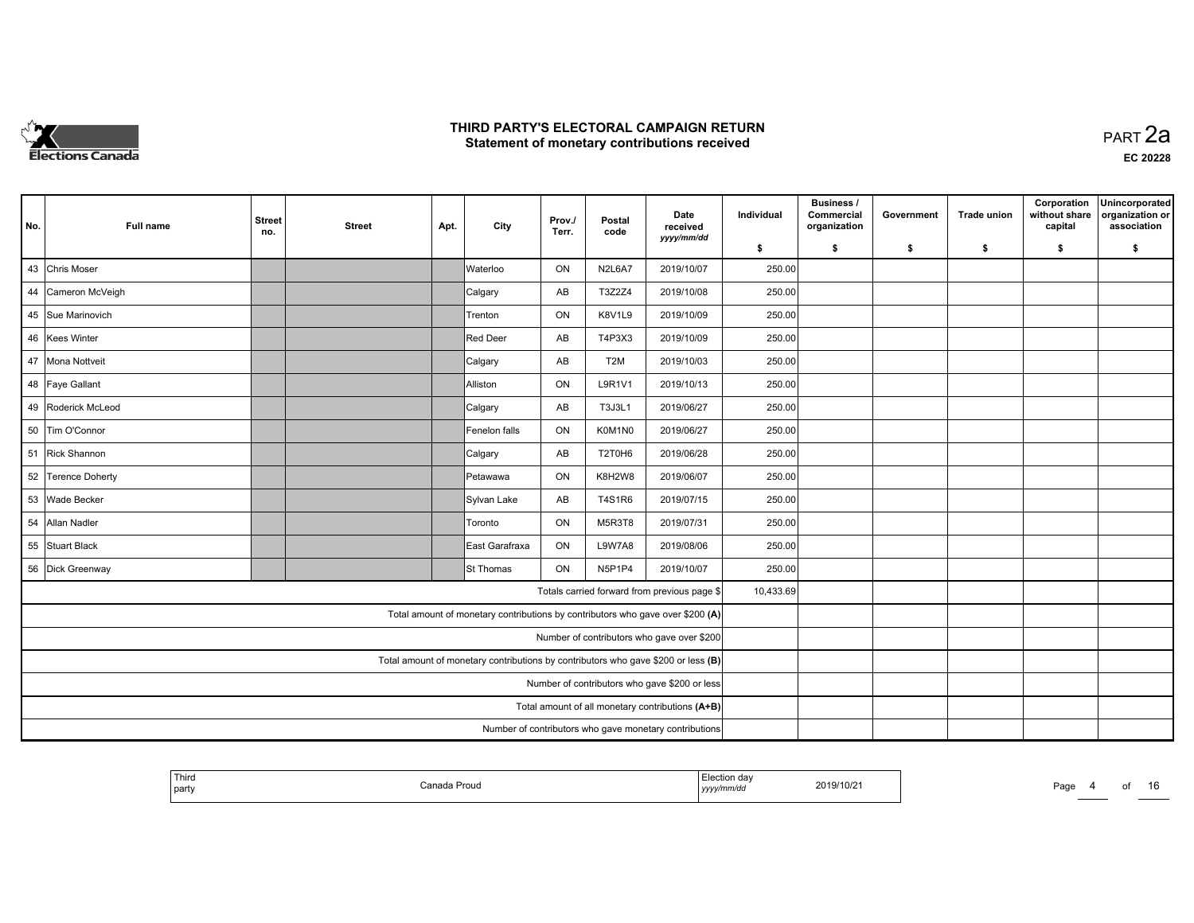

| No.                                           | <b>Full name</b>                                                                                           | <b>Street</b><br>no. | <b>Street</b> | Apt. | City                                                                              | Prov./<br>Terr. | Postal<br>code   | Date<br>received<br>yyyy/mm/dd               | Individual | <b>Business /</b><br>Commercial<br>organization | Government | <b>Trade union</b> | Corporation<br>without share<br>capital | Unincorporated<br>organization or<br>association |
|-----------------------------------------------|------------------------------------------------------------------------------------------------------------|----------------------|---------------|------|-----------------------------------------------------------------------------------|-----------------|------------------|----------------------------------------------|------------|-------------------------------------------------|------------|--------------------|-----------------------------------------|--------------------------------------------------|
|                                               |                                                                                                            |                      |               |      |                                                                                   |                 |                  |                                              | \$         | s.                                              | -\$        | -\$                | \$                                      | \$                                               |
|                                               | 43 Chris Moser                                                                                             |                      |               |      | <b>Waterloo</b>                                                                   | ON              | N2L6A7           | 2019/10/07                                   | 250.00     |                                                 |            |                    |                                         |                                                  |
|                                               | 44 Cameron McVeigh                                                                                         |                      |               |      | Calgary                                                                           | AB              | T3Z2Z4           | 2019/10/08                                   | 250.00     |                                                 |            |                    |                                         |                                                  |
|                                               | 45 Sue Marinovich                                                                                          |                      |               |      | Trenton                                                                           | ON              | <b>K8V1L9</b>    | 2019/10/09                                   | 250.00     |                                                 |            |                    |                                         |                                                  |
|                                               | 46 Kees Winter                                                                                             |                      |               |      | Red Deer                                                                          | AB              | T4P3X3           | 2019/10/09                                   | 250.00     |                                                 |            |                    |                                         |                                                  |
|                                               | 47 Mona Nottveit                                                                                           |                      |               |      | Calgary                                                                           | AB              | T <sub>2</sub> M | 2019/10/03                                   | 250.00     |                                                 |            |                    |                                         |                                                  |
|                                               | 48 Faye Gallant                                                                                            |                      |               |      | Alliston                                                                          | ON              | L9R1V1           | 2019/10/13                                   | 250.00     |                                                 |            |                    |                                         |                                                  |
|                                               | 49 Roderick McLeod                                                                                         |                      |               |      | Calgary                                                                           | AB              | T3J3L1           | 2019/06/27                                   | 250.00     |                                                 |            |                    |                                         |                                                  |
|                                               | 50 Tim O'Connor                                                                                            |                      |               |      | Fenelon falls                                                                     | ON              | K0M1N0           | 2019/06/27                                   | 250.00     |                                                 |            |                    |                                         |                                                  |
|                                               | 51 Rick Shannon                                                                                            |                      |               |      | Calgary                                                                           | AB              | T2T0H6           | 2019/06/28                                   | 250.00     |                                                 |            |                    |                                         |                                                  |
|                                               | 52 Terence Doherty                                                                                         |                      |               |      | Petawawa                                                                          | ON              | K8H2W8           | 2019/06/07                                   | 250.00     |                                                 |            |                    |                                         |                                                  |
|                                               | 53 Wade Becker                                                                                             |                      |               |      | Sylvan Lake                                                                       | AB              | T4S1R6           | 2019/07/15                                   | 250.00     |                                                 |            |                    |                                         |                                                  |
|                                               | 54 Allan Nadler                                                                                            |                      |               |      | Toronto                                                                           | ON              | M5R3T8           | 2019/07/31                                   | 250.00     |                                                 |            |                    |                                         |                                                  |
|                                               | 55 Stuart Black                                                                                            |                      |               |      | East Garafraxa                                                                    | ON              | <b>L9W7A8</b>    | 2019/08/06                                   | 250.00     |                                                 |            |                    |                                         |                                                  |
|                                               | 56 Dick Greenway                                                                                           |                      |               |      | St Thomas                                                                         | ON              | N5P1P4           | 2019/10/07                                   | 250.00     |                                                 |            |                    |                                         |                                                  |
|                                               |                                                                                                            |                      |               |      |                                                                                   |                 |                  | Totals carried forward from previous page \$ | 10,433.69  |                                                 |            |                    |                                         |                                                  |
|                                               |                                                                                                            |                      |               |      | Total amount of monetary contributions by contributors who gave over \$200 (A)    |                 |                  |                                              |            |                                                 |            |                    |                                         |                                                  |
|                                               |                                                                                                            |                      |               |      |                                                                                   |                 |                  | Number of contributors who gave over \$200   |            |                                                 |            |                    |                                         |                                                  |
|                                               |                                                                                                            |                      |               |      | Total amount of monetary contributions by contributors who gave \$200 or less (B) |                 |                  |                                              |            |                                                 |            |                    |                                         |                                                  |
| Number of contributors who gave \$200 or less |                                                                                                            |                      |               |      |                                                                                   |                 |                  |                                              |            |                                                 |            |                    |                                         |                                                  |
|                                               |                                                                                                            |                      |               |      |                                                                                   |                 |                  |                                              |            |                                                 |            |                    |                                         |                                                  |
|                                               | Total amount of all monetary contributions (A+B)<br>Number of contributors who gave monetary contributions |                      |               |      |                                                                                   |                 |                  |                                              |            |                                                 |            |                    |                                         |                                                  |

| 2019/10/21<br>Canada Proud<br>Page<br>റെ<br>$\cdots$<br>  party<br>  yyyy/mm/dd | Third |  | $-$<br>Election day |  |  | . .<br>È<br>___ |
|---------------------------------------------------------------------------------|-------|--|---------------------|--|--|-----------------|
|---------------------------------------------------------------------------------|-------|--|---------------------|--|--|-----------------|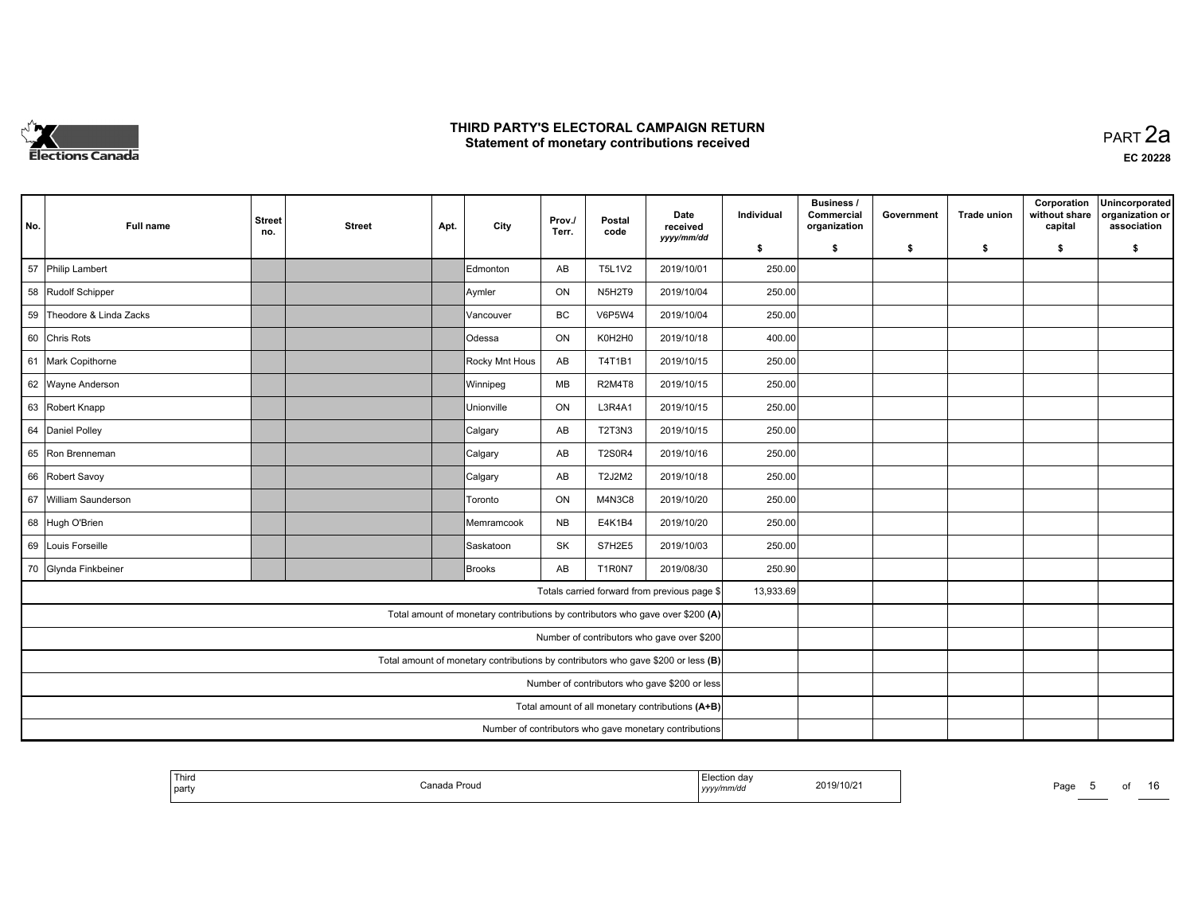

| No.                                              | Full name                                              | <b>Street</b><br>no. | <b>Street</b> | Apt. | City                                                                           | Prov./<br>Terr. | Postal<br>code | Date<br>received<br>yyyy/mm/dd               | Individual | <b>Business /</b><br>Commercial<br>organization | Government | <b>Trade union</b> | Corporation<br>without share<br>capital | Unincorporated<br>organization or<br>association |
|--------------------------------------------------|--------------------------------------------------------|----------------------|---------------|------|--------------------------------------------------------------------------------|-----------------|----------------|----------------------------------------------|------------|-------------------------------------------------|------------|--------------------|-----------------------------------------|--------------------------------------------------|
|                                                  |                                                        |                      |               |      |                                                                                |                 |                |                                              | \$         | s.                                              | -\$        | -\$                | \$                                      | \$                                               |
| 57                                               | Philip Lambert                                         |                      |               |      | Edmonton                                                                       | AB              | <b>T5L1V2</b>  | 2019/10/01                                   | 250.00     |                                                 |            |                    |                                         |                                                  |
|                                                  | 58 Rudolf Schipper                                     |                      |               |      | Aymler                                                                         | ON              | N5H2T9         | 2019/10/04                                   | 250.00     |                                                 |            |                    |                                         |                                                  |
|                                                  | 59 Theodore & Linda Zacks                              |                      |               |      | Vancouver                                                                      | BC              | <b>V6P5W4</b>  | 2019/10/04                                   | 250.00     |                                                 |            |                    |                                         |                                                  |
|                                                  | 60 Chris Rots                                          |                      |               |      | Odessa                                                                         | ON              | K0H2H0         | 2019/10/18                                   | 400.00     |                                                 |            |                    |                                         |                                                  |
|                                                  | 61 Mark Copithorne                                     |                      |               |      | Rocky Mnt Hous                                                                 | AB              | T4T1B1         | 2019/10/15                                   | 250.00     |                                                 |            |                    |                                         |                                                  |
|                                                  | 62 Wayne Anderson                                      |                      |               |      | Winnipeg                                                                       | MB              | <b>R2M4T8</b>  | 2019/10/15                                   | 250.00     |                                                 |            |                    |                                         |                                                  |
|                                                  | 63 Robert Knapp                                        |                      |               |      | Unionville                                                                     | ON              | L3R4A1         | 2019/10/15                                   | 250.00     |                                                 |            |                    |                                         |                                                  |
|                                                  | 64 Daniel Polley                                       |                      |               |      | Calgary                                                                        | AB              | T2T3N3         | 2019/10/15                                   | 250.00     |                                                 |            |                    |                                         |                                                  |
|                                                  | 65 Ron Brenneman                                       |                      |               |      | Calgary                                                                        | AB              | <b>T2S0R4</b>  | 2019/10/16                                   | 250.00     |                                                 |            |                    |                                         |                                                  |
|                                                  | 66 Robert Savoy                                        |                      |               |      | Calgary                                                                        | AB              | T2J2M2         | 2019/10/18                                   | 250.00     |                                                 |            |                    |                                         |                                                  |
| 67                                               | William Saunderson                                     |                      |               |      | Toronto                                                                        | ON              | M4N3C8         | 2019/10/20                                   | 250.00     |                                                 |            |                    |                                         |                                                  |
|                                                  | 68 Hugh O'Brien                                        |                      |               |      | Memramcook                                                                     | <b>NB</b>       | E4K1B4         | 2019/10/20                                   | 250.00     |                                                 |            |                    |                                         |                                                  |
|                                                  | 69 Louis Forseille                                     |                      |               |      | Saskatoon                                                                      | SK              | S7H2E5         | 2019/10/03                                   | 250.00     |                                                 |            |                    |                                         |                                                  |
|                                                  | 70 Glynda Finkbeiner                                   |                      |               |      | Brooks                                                                         | AB              | T1R0N7         | 2019/08/30                                   | 250.90     |                                                 |            |                    |                                         |                                                  |
|                                                  |                                                        |                      |               |      |                                                                                |                 |                | Totals carried forward from previous page \$ | 13,933.69  |                                                 |            |                    |                                         |                                                  |
|                                                  |                                                        |                      |               |      | Total amount of monetary contributions by contributors who gave over \$200 (A) |                 |                |                                              |            |                                                 |            |                    |                                         |                                                  |
|                                                  |                                                        |                      |               |      |                                                                                |                 |                | Number of contributors who gave over \$200   |            |                                                 |            |                    |                                         |                                                  |
|                                                  |                                                        |                      |               |      |                                                                                |                 |                |                                              |            |                                                 |            |                    |                                         |                                                  |
| Number of contributors who gave \$200 or less    |                                                        |                      |               |      |                                                                                |                 |                |                                              |            |                                                 |            |                    |                                         |                                                  |
| Total amount of all monetary contributions (A+B) |                                                        |                      |               |      |                                                                                |                 |                |                                              |            |                                                 |            |                    |                                         |                                                  |
|                                                  | Number of contributors who gave monetary contributions |                      |               |      |                                                                                |                 |                |                                              |            |                                                 |            |                    |                                         |                                                  |

| <b>Contractor Contractor</b><br>Third<br>rion day<br>2019/10/21<br>، صور ۱<br>Canada:<br>roua<br>  part<br>yyyymm/aa | Page<br>റെ |  |
|----------------------------------------------------------------------------------------------------------------------|------------|--|
|----------------------------------------------------------------------------------------------------------------------|------------|--|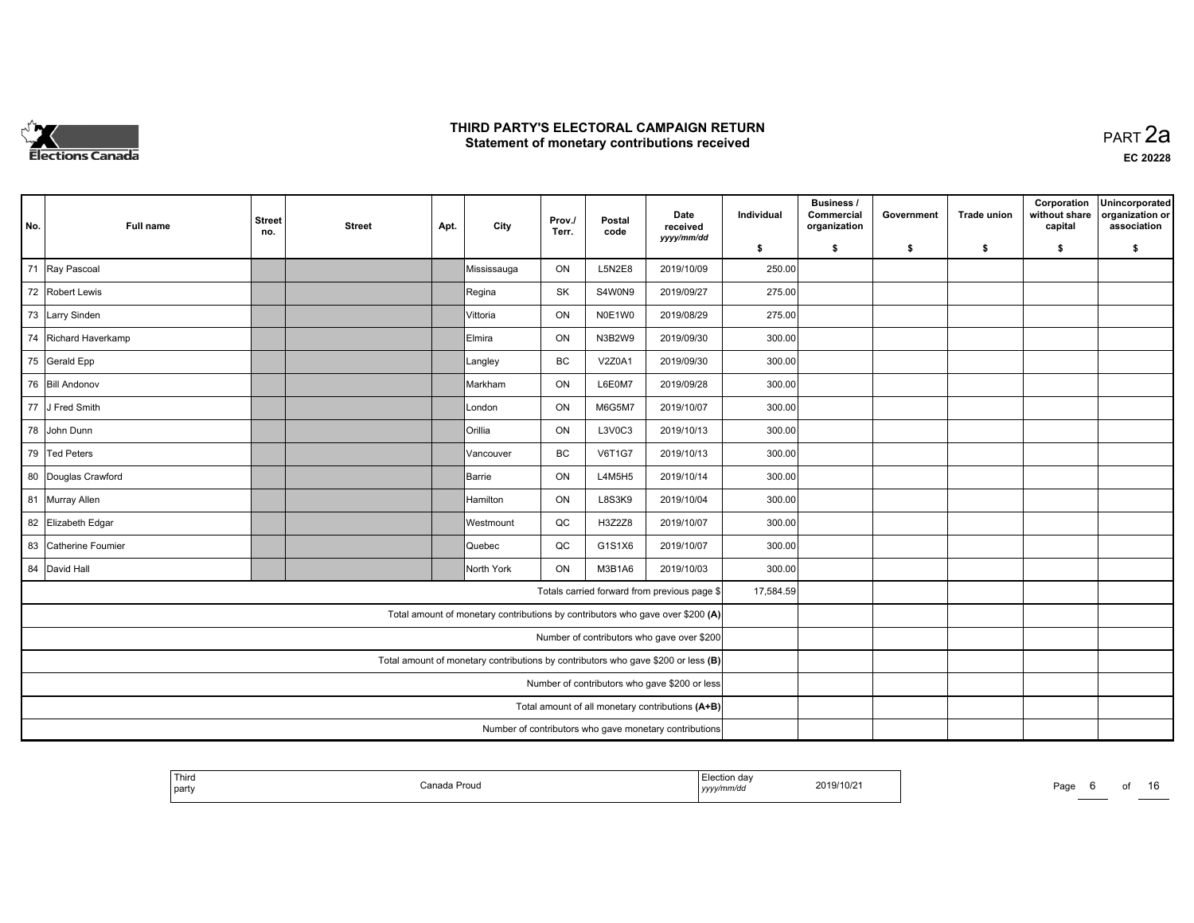

| No.                                              | <b>Full name</b>                                       | <b>Street</b><br>no. | <b>Street</b> | Apt. | City                                                                           | Prov./<br>Terr. | Postal<br>code | Date<br>received<br>yyyy/mm/dd               | Individual | <b>Business /</b><br>Commercial<br>organization | Government | <b>Trade union</b> | Corporation<br>without share<br>capital | Unincorporated<br>organization or<br>association |
|--------------------------------------------------|--------------------------------------------------------|----------------------|---------------|------|--------------------------------------------------------------------------------|-----------------|----------------|----------------------------------------------|------------|-------------------------------------------------|------------|--------------------|-----------------------------------------|--------------------------------------------------|
|                                                  |                                                        |                      |               |      |                                                                                |                 |                |                                              | \$         | s.                                              | -\$        | -\$                | \$                                      | \$                                               |
|                                                  | 71 Ray Pascoal                                         |                      |               |      | Mississauga                                                                    | ON              | <b>L5N2E8</b>  | 2019/10/09                                   | 250.00     |                                                 |            |                    |                                         |                                                  |
|                                                  | 72 Robert Lewis                                        |                      |               |      | Regina                                                                         | <b>SK</b>       | S4W0N9         | 2019/09/27                                   | 275.00     |                                                 |            |                    |                                         |                                                  |
|                                                  | 73 Larry Sinden                                        |                      |               |      | Vittoria                                                                       | ON              | N0E1W0         | 2019/08/29                                   | 275.00     |                                                 |            |                    |                                         |                                                  |
|                                                  | 74 Richard Haverkamp                                   |                      |               |      | Elmira                                                                         | ON              | N3B2W9         | 2019/09/30                                   | 300.00     |                                                 |            |                    |                                         |                                                  |
|                                                  | 75 Gerald Epp                                          |                      |               |      | Langley                                                                        | BC              | V2Z0A1         | 2019/09/30                                   | 300.00     |                                                 |            |                    |                                         |                                                  |
|                                                  | 76 Bill Andonov                                        |                      |               |      | Markham                                                                        | ON              | L6E0M7         | 2019/09/28                                   | 300.00     |                                                 |            |                    |                                         |                                                  |
|                                                  | 77 J Fred Smith                                        |                      |               |      | London                                                                         | ON              | M6G5M7         | 2019/10/07                                   | 300.00     |                                                 |            |                    |                                         |                                                  |
|                                                  | 78 John Dunn                                           |                      |               |      | Orillia                                                                        | ON              | L3V0C3         | 2019/10/13                                   | 300.00     |                                                 |            |                    |                                         |                                                  |
|                                                  | 79 Ted Peters                                          |                      |               |      | Vancouver                                                                      | BC              | <b>V6T1G7</b>  | 2019/10/13                                   | 300.00     |                                                 |            |                    |                                         |                                                  |
|                                                  | 80 Douglas Crawford                                    |                      |               |      | Barrie                                                                         | ON              | L4M5H5         | 2019/10/14                                   | 300.00     |                                                 |            |                    |                                         |                                                  |
|                                                  | 81 Murray Allen                                        |                      |               |      | Hamilton                                                                       | ON              | L8S3K9         | 2019/10/04                                   | 300.00     |                                                 |            |                    |                                         |                                                  |
|                                                  | 82 Elizabeth Edgar                                     |                      |               |      | Westmount                                                                      | QC              | H3Z2Z8         | 2019/10/07                                   | 300.00     |                                                 |            |                    |                                         |                                                  |
|                                                  | 83 Catherine Foumier                                   |                      |               |      | Quebec                                                                         | QC              | G1S1X6         | 2019/10/07                                   | 300.00     |                                                 |            |                    |                                         |                                                  |
|                                                  | 84 David Hall                                          |                      |               |      | North York                                                                     | ON              | M3B1A6         | 2019/10/03                                   | 300.00     |                                                 |            |                    |                                         |                                                  |
|                                                  |                                                        |                      |               |      |                                                                                |                 |                | Totals carried forward from previous page \$ | 17,584.59  |                                                 |            |                    |                                         |                                                  |
|                                                  |                                                        |                      |               |      | Total amount of monetary contributions by contributors who gave over \$200 (A) |                 |                |                                              |            |                                                 |            |                    |                                         |                                                  |
|                                                  |                                                        |                      |               |      |                                                                                |                 |                | Number of contributors who gave over \$200   |            |                                                 |            |                    |                                         |                                                  |
|                                                  |                                                        |                      |               |      |                                                                                |                 |                |                                              |            |                                                 |            |                    |                                         |                                                  |
| Number of contributors who gave \$200 or less    |                                                        |                      |               |      |                                                                                |                 |                |                                              |            |                                                 |            |                    |                                         |                                                  |
| Total amount of all monetary contributions (A+B) |                                                        |                      |               |      |                                                                                |                 |                |                                              |            |                                                 |            |                    |                                         |                                                  |
|                                                  | Number of contributors who gave monetary contributions |                      |               |      |                                                                                |                 |                |                                              |            |                                                 |            |                    |                                         |                                                  |

| <b>Thiro</b><br>Election dav<br>2019/10/21<br>the property of the control of the<br>Canada Proud<br>Page<br>party<br>yyyymm/ao |  | റെ |
|--------------------------------------------------------------------------------------------------------------------------------|--|----|
|--------------------------------------------------------------------------------------------------------------------------------|--|----|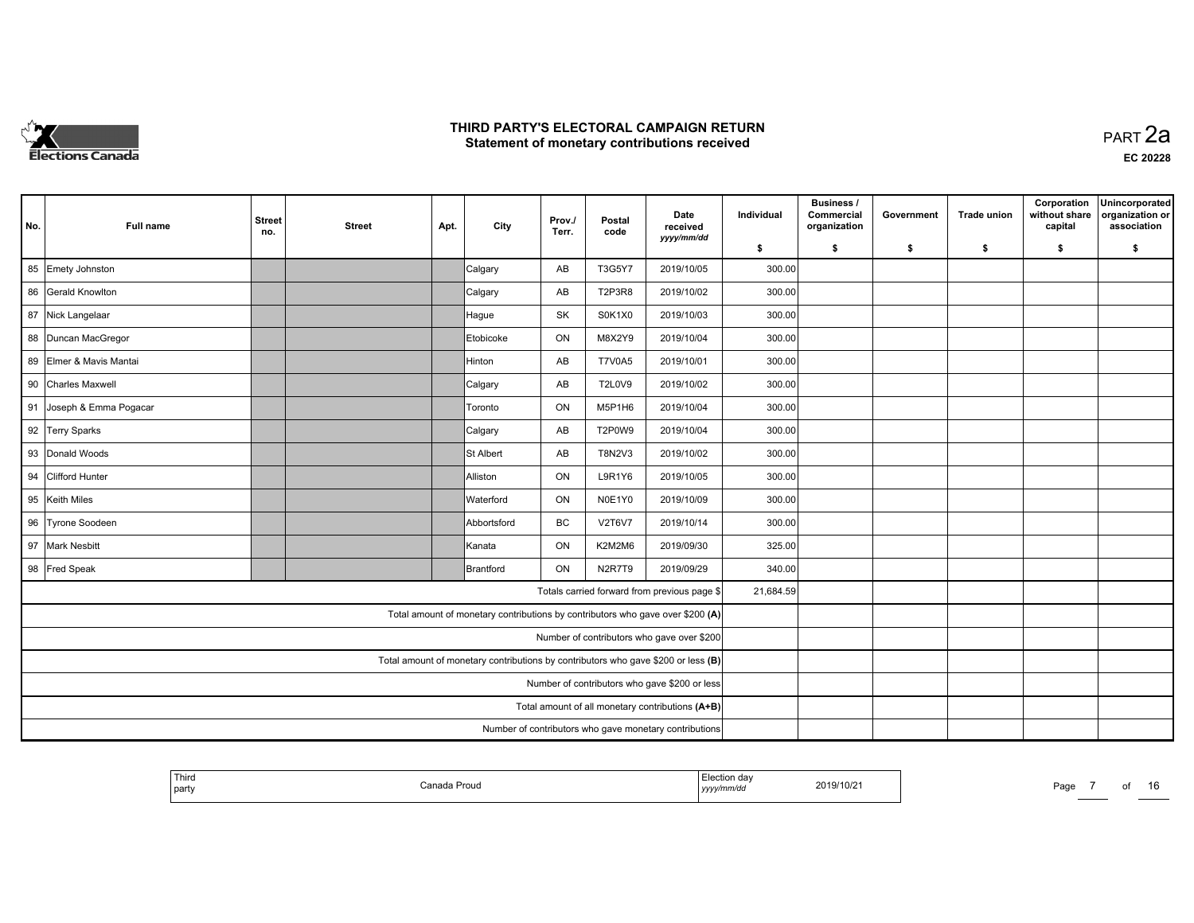

**EC 20228**

| No.                                              | Full name                                              | <b>Street</b><br>no. | <b>Street</b> | Apt. | City                                                                           | Prov./<br>Terr. | Postal<br>code | Date<br>received<br>yyyy/mm/dd               | Individual | <b>Business /</b><br>Commercial<br>organization | Government | <b>Trade union</b> | Corporation<br>without share<br>capital | Unincorporated<br>organization or<br>association |
|--------------------------------------------------|--------------------------------------------------------|----------------------|---------------|------|--------------------------------------------------------------------------------|-----------------|----------------|----------------------------------------------|------------|-------------------------------------------------|------------|--------------------|-----------------------------------------|--------------------------------------------------|
|                                                  |                                                        |                      |               |      |                                                                                |                 |                |                                              | \$         | s.                                              | -\$        | -\$                | \$                                      | \$                                               |
|                                                  | 85 Emety Johnston                                      |                      |               |      | Calgary                                                                        | AB              | T3G5Y7         | 2019/10/05                                   | 300.00     |                                                 |            |                    |                                         |                                                  |
|                                                  | 86 Gerald Knowlton                                     |                      |               |      | Calgary                                                                        | AB              | <b>T2P3R8</b>  | 2019/10/02                                   | 300.00     |                                                 |            |                    |                                         |                                                  |
|                                                  | 87 Nick Langelaar                                      |                      |               |      | Hague                                                                          | SK              | S0K1X0         | 2019/10/03                                   | 300.00     |                                                 |            |                    |                                         |                                                  |
|                                                  | 88   Duncan MacGregor                                  |                      |               |      | Etobicoke                                                                      | ON              | M8X2Y9         | 2019/10/04                                   | 300.00     |                                                 |            |                    |                                         |                                                  |
|                                                  | 89 Elmer & Mavis Mantai                                |                      |               |      | Hinton                                                                         | AB              | <b>T7V0A5</b>  | 2019/10/01                                   | 300.00     |                                                 |            |                    |                                         |                                                  |
| 90                                               | <b>Charles Maxwell</b>                                 |                      |               |      | Calgary                                                                        | AB              | <b>T2L0V9</b>  | 2019/10/02                                   | 300.00     |                                                 |            |                    |                                         |                                                  |
| 91                                               | Joseph & Emma Pogacar                                  |                      |               |      | Toronto                                                                        | ON              | M5P1H6         | 2019/10/04                                   | 300.00     |                                                 |            |                    |                                         |                                                  |
|                                                  | 92 Terry Sparks                                        |                      |               |      | Calgary                                                                        | AB              | T2P0W9         | 2019/10/04                                   | 300.00     |                                                 |            |                    |                                         |                                                  |
|                                                  | 93 Donald Woods                                        |                      |               |      | St Albert                                                                      | AB              | T8N2V3         | 2019/10/02                                   | 300.00     |                                                 |            |                    |                                         |                                                  |
| 94                                               | <b>Clifford Hunter</b>                                 |                      |               |      | Alliston                                                                       | ON              | L9R1Y6         | 2019/10/05                                   | 300.00     |                                                 |            |                    |                                         |                                                  |
| 95                                               | Keith Miles                                            |                      |               |      | Waterford                                                                      | ON              | N0E1Y0         | 2019/10/09                                   | 300.00     |                                                 |            |                    |                                         |                                                  |
|                                                  | 96 Tyrone Soodeen                                      |                      |               |      | Abbortsford                                                                    | BC              | <b>V2T6V7</b>  | 2019/10/14                                   | 300.00     |                                                 |            |                    |                                         |                                                  |
|                                                  | 97 Mark Nesbitt                                        |                      |               |      | Kanata                                                                         | ON              | K2M2M6         | 2019/09/30                                   | 325.00     |                                                 |            |                    |                                         |                                                  |
|                                                  | 98 Fred Speak                                          |                      |               |      | Brantford                                                                      | <b>ON</b>       | N2R7T9         | 2019/09/29                                   | 340.00     |                                                 |            |                    |                                         |                                                  |
|                                                  |                                                        |                      |               |      |                                                                                |                 |                | Totals carried forward from previous page \$ | 21,684.59  |                                                 |            |                    |                                         |                                                  |
|                                                  |                                                        |                      |               |      | Total amount of monetary contributions by contributors who gave over \$200 (A) |                 |                |                                              |            |                                                 |            |                    |                                         |                                                  |
|                                                  |                                                        |                      |               |      |                                                                                |                 |                | Number of contributors who gave over \$200   |            |                                                 |            |                    |                                         |                                                  |
|                                                  |                                                        |                      |               |      |                                                                                |                 |                |                                              |            |                                                 |            |                    |                                         |                                                  |
| Number of contributors who gave \$200 or less    |                                                        |                      |               |      |                                                                                |                 |                |                                              |            |                                                 |            |                    |                                         |                                                  |
| Total amount of all monetary contributions (A+B) |                                                        |                      |               |      |                                                                                |                 |                |                                              |            |                                                 |            |                    |                                         |                                                  |
|                                                  | Number of contributors who gave monetary contributions |                      |               |      |                                                                                |                 |                |                                              |            |                                                 |            |                    |                                         |                                                  |

| Third<br>  party | 'a Prouo<br>Canada<br>. | <sup>≔</sup> lection dav<br>2019/10/21<br>.<br>, yyyy/mm/dd | ∼ |
|------------------|-------------------------|-------------------------------------------------------------|---|
|------------------|-------------------------|-------------------------------------------------------------|---|

age 7 of 16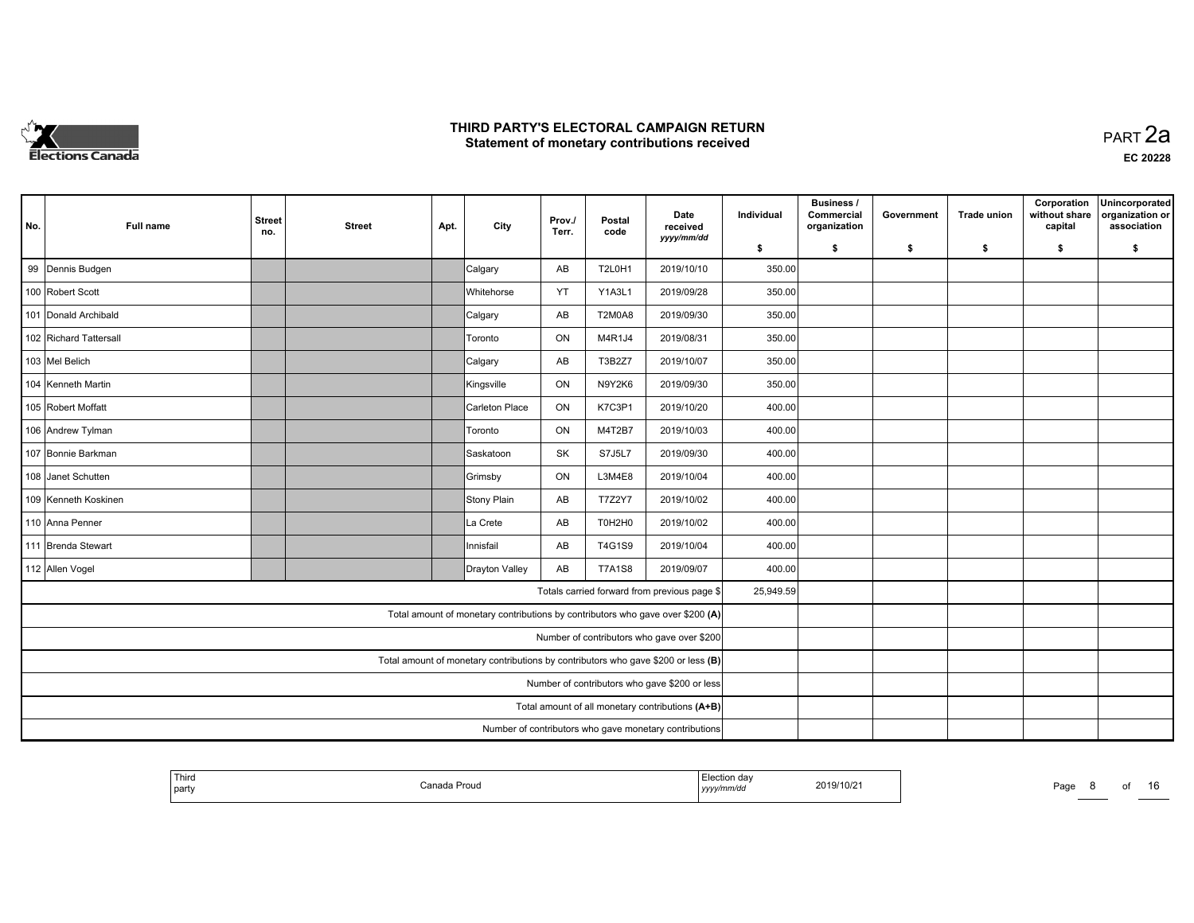

| No.                                                                               | Full name                                              | <b>Street</b><br>no. | <b>Street</b> | Apt. | City                                                                           | Prov./<br>Terr. | Postal<br>code | Date<br>received<br>yyyy/mm/dd               | Individual | <b>Business /</b><br>Commercial<br>organization | Government | <b>Trade union</b> | Corporation<br>without share<br>capital | Unincorporated<br>organization or<br>association |
|-----------------------------------------------------------------------------------|--------------------------------------------------------|----------------------|---------------|------|--------------------------------------------------------------------------------|-----------------|----------------|----------------------------------------------|------------|-------------------------------------------------|------------|--------------------|-----------------------------------------|--------------------------------------------------|
|                                                                                   |                                                        |                      |               |      |                                                                                |                 |                |                                              | \$         | s.                                              | -\$        | -\$                | \$                                      | \$                                               |
|                                                                                   | 99 Dennis Budgen                                       |                      |               |      | Calgary                                                                        | AB              | <b>T2L0H1</b>  | 2019/10/10                                   | 350.00     |                                                 |            |                    |                                         |                                                  |
|                                                                                   | 100 Robert Scott                                       |                      |               |      | <b>IWhitehorse</b>                                                             | YT              | Y1A3L1         | 2019/09/28                                   | 350.00     |                                                 |            |                    |                                         |                                                  |
|                                                                                   | 101 Donald Archibald                                   |                      |               |      | Calgary                                                                        | AB              | <b>T2M0A8</b>  | 2019/09/30                                   | 350.00     |                                                 |            |                    |                                         |                                                  |
|                                                                                   | 102 Richard Tattersall                                 |                      |               |      | Toronto                                                                        | ON              | M4R1J4         | 2019/08/31                                   | 350.00     |                                                 |            |                    |                                         |                                                  |
|                                                                                   | 103 Mel Belich                                         |                      |               |      | Calgary                                                                        | AB              | T3B2Z7         | 2019/10/07                                   | 350.00     |                                                 |            |                    |                                         |                                                  |
|                                                                                   | 104 Kenneth Martin                                     |                      |               |      | Kingsville                                                                     | ON              | N9Y2K6         | 2019/09/30                                   | 350.00     |                                                 |            |                    |                                         |                                                  |
|                                                                                   | 105 Robert Moffatt                                     |                      |               |      | Carleton Place                                                                 | ON              | K7C3P1         | 2019/10/20                                   | 400.00     |                                                 |            |                    |                                         |                                                  |
|                                                                                   | 106 Andrew Tylman                                      |                      |               |      | Toronto                                                                        | ON              | M4T2B7         | 2019/10/03                                   | 400.00     |                                                 |            |                    |                                         |                                                  |
|                                                                                   | 107 Bonnie Barkman                                     |                      |               |      | Saskatoon                                                                      | <b>SK</b>       | <b>S7J5L7</b>  | 2019/09/30                                   | 400.00     |                                                 |            |                    |                                         |                                                  |
|                                                                                   | 108 Janet Schutten                                     |                      |               |      | Grimsby                                                                        | ON              | L3M4E8         | 2019/10/04                                   | 400.00     |                                                 |            |                    |                                         |                                                  |
|                                                                                   | 109 Kenneth Koskinen                                   |                      |               |      | Stony Plain                                                                    | AB              | T7Z2Y7         | 2019/10/02                                   | 400.00     |                                                 |            |                    |                                         |                                                  |
|                                                                                   | 110 Anna Penner                                        |                      |               |      | La Crete                                                                       | AB              | T0H2H0         | 2019/10/02                                   | 400.00     |                                                 |            |                    |                                         |                                                  |
|                                                                                   | 111 Brenda Stewart                                     |                      |               |      | Innisfail                                                                      | AB              | T4G1S9         | 2019/10/04                                   | 400.00     |                                                 |            |                    |                                         |                                                  |
|                                                                                   | 112 Allen Vogel                                        |                      |               |      | Drayton Valley                                                                 | AB              | <b>T7A1S8</b>  | 2019/09/07                                   | 400.00     |                                                 |            |                    |                                         |                                                  |
|                                                                                   |                                                        |                      |               |      |                                                                                |                 |                | Totals carried forward from previous page \$ | 25,949.59  |                                                 |            |                    |                                         |                                                  |
|                                                                                   |                                                        |                      |               |      | Total amount of monetary contributions by contributors who gave over \$200 (A) |                 |                |                                              |            |                                                 |            |                    |                                         |                                                  |
|                                                                                   |                                                        |                      |               |      |                                                                                |                 |                | Number of contributors who gave over \$200   |            |                                                 |            |                    |                                         |                                                  |
| Total amount of monetary contributions by contributors who gave \$200 or less (B) |                                                        |                      |               |      |                                                                                |                 |                |                                              |            |                                                 |            |                    |                                         |                                                  |
| Number of contributors who gave \$200 or less                                     |                                                        |                      |               |      |                                                                                |                 |                |                                              |            |                                                 |            |                    |                                         |                                                  |
| Total amount of all monetary contributions (A+B)                                  |                                                        |                      |               |      |                                                                                |                 |                |                                              |            |                                                 |            |                    |                                         |                                                  |
|                                                                                   | Number of contributors who gave monetary contributions |                      |               |      |                                                                                |                 |                |                                              |            |                                                 |            |                    |                                         |                                                  |

| Thira<br>Election day<br>2019/10/21<br><b>Contract Contract Contract</b><br>Canada Proud<br>Page<br>.<br>  party<br>, yyyy/mm/dd | ΩT | . .<br>י |
|----------------------------------------------------------------------------------------------------------------------------------|----|----------|
|----------------------------------------------------------------------------------------------------------------------------------|----|----------|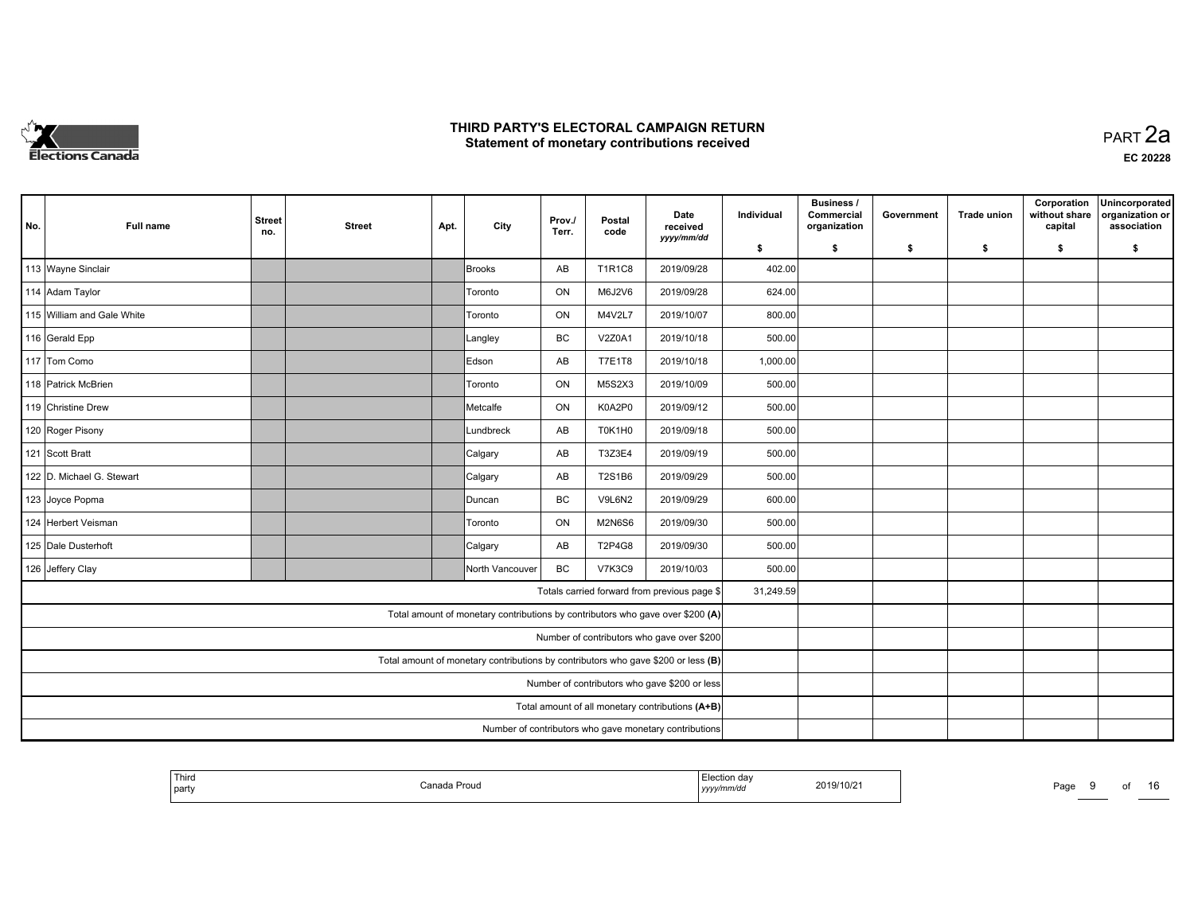

| No.                                              | <b>Full name</b>           | <b>Street</b><br>no. | <b>Street</b> | Apt. | City                                                                              | Prov./<br>Terr. | Postal<br>code | Date<br>received<br>yyyy/mm/dd               | Individual | <b>Business /</b><br>Commercial<br>organization | Government | <b>Trade union</b> | Corporation<br>without share<br>capital | Unincorporated<br>organization or<br>association |
|--------------------------------------------------|----------------------------|----------------------|---------------|------|-----------------------------------------------------------------------------------|-----------------|----------------|----------------------------------------------|------------|-------------------------------------------------|------------|--------------------|-----------------------------------------|--------------------------------------------------|
|                                                  |                            |                      |               |      |                                                                                   |                 |                |                                              | \$         | S.                                              | -\$        | -\$                | \$                                      | \$                                               |
|                                                  | 113 Wayne Sinclair         |                      |               |      | Brooks                                                                            | AB              | <b>T1R1C8</b>  | 2019/09/28                                   | 402.00     |                                                 |            |                    |                                         |                                                  |
|                                                  | 114 Adam Taylor            |                      |               |      | Toronto                                                                           | ON              | M6J2V6         | 2019/09/28                                   | 624.00     |                                                 |            |                    |                                         |                                                  |
|                                                  | 115 William and Gale White |                      |               |      | Toronto                                                                           | ON              | M4V2L7         | 2019/10/07                                   | 800.00     |                                                 |            |                    |                                         |                                                  |
|                                                  | 116 Gerald Epp             |                      |               |      | Langley                                                                           | <b>BC</b>       | V2Z0A1         | 2019/10/18                                   | 500.00     |                                                 |            |                    |                                         |                                                  |
|                                                  | 117 Tom Como               |                      |               |      | Edson                                                                             | AB              | <b>T7E1T8</b>  | 2019/10/18                                   | 1,000.00   |                                                 |            |                    |                                         |                                                  |
|                                                  | 118 Patrick McBrien        |                      |               |      | Toronto                                                                           | ON              | M5S2X3         | 2019/10/09                                   | 500.00     |                                                 |            |                    |                                         |                                                  |
|                                                  | 119 Christine Drew         |                      |               |      | Metcalfe                                                                          | ON              | K0A2P0         | 2019/09/12                                   | 500.00     |                                                 |            |                    |                                         |                                                  |
|                                                  | 120 Roger Pisony           |                      |               |      | Lundbreck                                                                         | AB              | T0K1H0         | 2019/09/18                                   | 500.00     |                                                 |            |                    |                                         |                                                  |
|                                                  | 121 Scott Bratt            |                      |               |      | Calgary                                                                           | AB              | T3Z3E4         | 2019/09/19                                   | 500.00     |                                                 |            |                    |                                         |                                                  |
|                                                  | 122 D. Michael G. Stewart  |                      |               |      | Calgary                                                                           | AB              | T2S1B6         | 2019/09/29                                   | 500.00     |                                                 |            |                    |                                         |                                                  |
|                                                  | 123 Joyce Popma            |                      |               |      | Duncan                                                                            | <b>BC</b>       | V9L6N2         | 2019/09/29                                   | 600.00     |                                                 |            |                    |                                         |                                                  |
|                                                  | 124 Herbert Veisman        |                      |               |      | Toronto                                                                           | ON              | <b>M2N6S6</b>  | 2019/09/30                                   | 500.00     |                                                 |            |                    |                                         |                                                  |
|                                                  | 125 Dale Dusterhoft        |                      |               |      | Calgary                                                                           | AB              | T2P4G8         | 2019/09/30                                   | 500.00     |                                                 |            |                    |                                         |                                                  |
|                                                  | 126 Jeffery Clay           |                      |               |      | North Vancouver                                                                   | <b>BC</b>       | <b>V7K3C9</b>  | 2019/10/03                                   | 500.00     |                                                 |            |                    |                                         |                                                  |
|                                                  |                            |                      |               |      |                                                                                   |                 |                | Totals carried forward from previous page \$ | 31,249.59  |                                                 |            |                    |                                         |                                                  |
|                                                  |                            |                      |               |      | Total amount of monetary contributions by contributors who gave over \$200 (A)    |                 |                |                                              |            |                                                 |            |                    |                                         |                                                  |
|                                                  |                            |                      |               |      |                                                                                   |                 |                | Number of contributors who gave over \$200   |            |                                                 |            |                    |                                         |                                                  |
|                                                  |                            |                      |               |      | Total amount of monetary contributions by contributors who gave \$200 or less (B) |                 |                |                                              |            |                                                 |            |                    |                                         |                                                  |
|                                                  |                            |                      |               |      |                                                                                   |                 |                |                                              |            |                                                 |            |                    |                                         |                                                  |
| Total amount of all monetary contributions (A+B) |                            |                      |               |      |                                                                                   |                 |                |                                              |            |                                                 |            |                    |                                         |                                                  |
|                                                  |                            |                      |               |      |                                                                                   |                 |                |                                              |            |                                                 |            |                    |                                         |                                                  |

| Third<br>Election day<br>2019/10/21<br>Canada Proud<br>Page<br>yyyy/mm/dd<br>  party<br>$\cdot$ - - - | . .<br>0t<br>ט ו |
|-------------------------------------------------------------------------------------------------------|------------------|
|-------------------------------------------------------------------------------------------------------|------------------|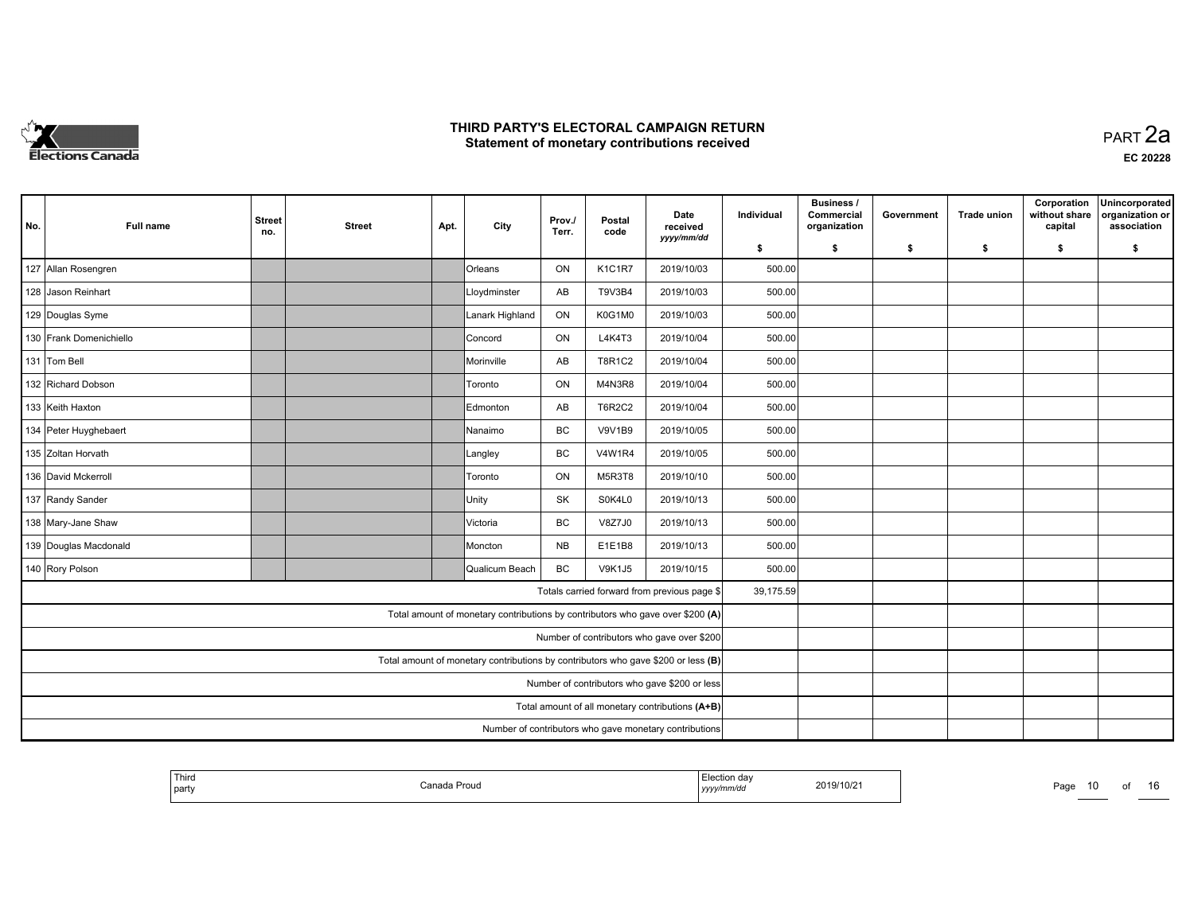

**EC 20228**

| No.                                              | <b>Full name</b>        | <b>Street</b><br>no. | <b>Street</b> | Apt. | City            | Prov./<br>Terr. | Postal<br>code | Date<br>received<br>yyyy/mm/dd                                                 | Individual | Business /<br>Commercial<br>organization | Government | <b>Trade union</b> | Corporation<br>without share<br>capital | Unincorporated<br>organization or<br>association |
|--------------------------------------------------|-------------------------|----------------------|---------------|------|-----------------|-----------------|----------------|--------------------------------------------------------------------------------|------------|------------------------------------------|------------|--------------------|-----------------------------------------|--------------------------------------------------|
|                                                  |                         |                      |               |      |                 |                 |                |                                                                                | \$         | s.                                       | \$         | -\$                | \$                                      | \$                                               |
|                                                  | 127 Allan Rosengren     |                      |               |      | Orleans         | ON              | K1C1R7         | 2019/10/03                                                                     | 500.00     |                                          |            |                    |                                         |                                                  |
|                                                  | 128 Jason Reinhart      |                      |               |      | Lloydminster    | AB              | T9V3B4         | 2019/10/03                                                                     | 500.00     |                                          |            |                    |                                         |                                                  |
|                                                  | 129 Douglas Syme        |                      |               |      | Lanark Highland | ON              | K0G1M0         | 2019/10/03                                                                     | 500.00     |                                          |            |                    |                                         |                                                  |
|                                                  | 130 Frank Domenichiello |                      |               |      | Concord         | ON              | L4K4T3         | 2019/10/04                                                                     | 500.00     |                                          |            |                    |                                         |                                                  |
|                                                  | 131 Tom Bell            |                      |               |      | Morinville      | AB              | T8R1C2         | 2019/10/04                                                                     | 500.00     |                                          |            |                    |                                         |                                                  |
|                                                  | 132 Richard Dobson      |                      |               |      | Toronto         | ON              | M4N3R8         | 2019/10/04                                                                     | 500.00     |                                          |            |                    |                                         |                                                  |
|                                                  | 133 Keith Haxton        |                      |               |      | Edmonton        | AB              | <b>T6R2C2</b>  | 2019/10/04                                                                     | 500.00     |                                          |            |                    |                                         |                                                  |
|                                                  | 134 Peter Huyghebaert   |                      |               |      | Nanaimo         | BC              | <b>V9V1B9</b>  | 2019/10/05                                                                     | 500.00     |                                          |            |                    |                                         |                                                  |
|                                                  | 135 Zoltan Horvath      |                      |               |      | Langley         | <b>BC</b>       | <b>V4W1R4</b>  | 2019/10/05                                                                     | 500.00     |                                          |            |                    |                                         |                                                  |
|                                                  | 136 David Mckerroll     |                      |               |      | Toronto         | ON              | M5R3T8         | 2019/10/10                                                                     | 500.00     |                                          |            |                    |                                         |                                                  |
|                                                  | 137 Randy Sander        |                      |               |      | Unity           | <b>SK</b>       | S0K4L0         | 2019/10/13                                                                     | 500.00     |                                          |            |                    |                                         |                                                  |
|                                                  | 138 Mary-Jane Shaw      |                      |               |      | Victoria        | BC              | V8Z7J0         | 2019/10/13                                                                     | 500.00     |                                          |            |                    |                                         |                                                  |
|                                                  | 139 Douglas Macdonald   |                      |               |      | Moncton         | <b>NB</b>       | E1E1B8         | 2019/10/13                                                                     | 500.00     |                                          |            |                    |                                         |                                                  |
|                                                  | 140 Rory Polson         |                      |               |      | Qualicum Beach  | <b>BC</b>       | <b>V9K1J5</b>  | 2019/10/15                                                                     | 500.00     |                                          |            |                    |                                         |                                                  |
|                                                  |                         |                      |               |      |                 |                 |                | Totals carried forward from previous page \$                                   | 39,175.59  |                                          |            |                    |                                         |                                                  |
|                                                  |                         |                      |               |      |                 |                 |                | Total amount of monetary contributions by contributors who gave over \$200 (A) |            |                                          |            |                    |                                         |                                                  |
|                                                  |                         |                      |               |      |                 |                 |                | Number of contributors who gave over \$200                                     |            |                                          |            |                    |                                         |                                                  |
|                                                  |                         |                      |               |      |                 |                 |                |                                                                                |            |                                          |            |                    |                                         |                                                  |
|                                                  |                         |                      |               |      |                 |                 |                |                                                                                |            |                                          |            |                    |                                         |                                                  |
| Total amount of all monetary contributions (A+B) |                         |                      |               |      |                 |                 |                |                                                                                |            |                                          |            |                    |                                         |                                                  |
|                                                  |                         |                      |               |      |                 |                 |                |                                                                                |            |                                          |            |                    |                                         |                                                  |

| <b>Third</b><br>Canada Prouo<br>l party | Election dav<br>.<br>yyyy/mm/dd | 2019/10/21 | Pag.<br>___ |
|-----------------------------------------|---------------------------------|------------|-------------|
|-----------------------------------------|---------------------------------|------------|-------------|

*yyyy/mm/dd* 2019/10/21 Page <sup>10</sup> of <sup>16</sup>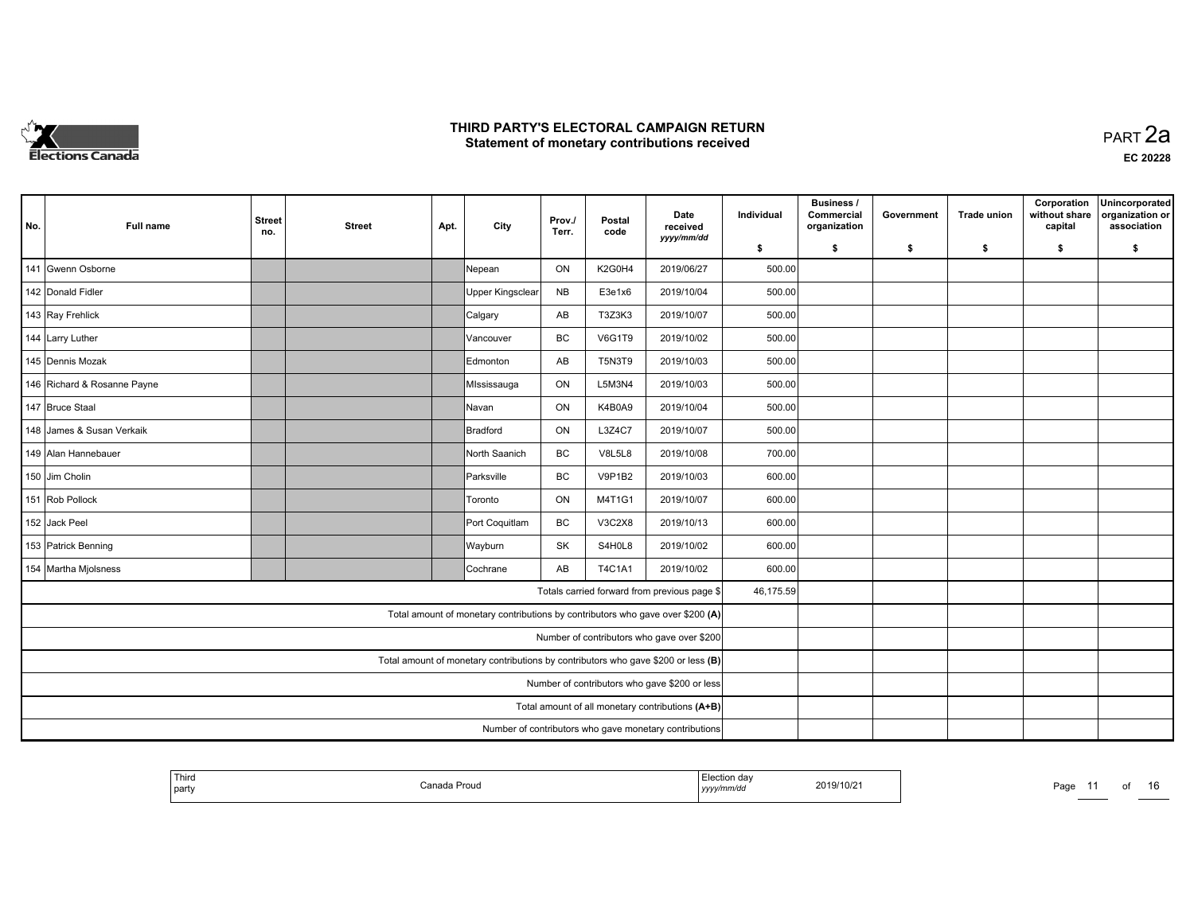

**EC 20228**

| No. | <b>Full name</b>            | <b>Street</b><br>no.                             | <b>Street</b> | Apt. | City                                                                              | Prov./<br>Terr. | Postal<br>code | Date<br>received<br>yyyy/mm/dd                         | Individual | <b>Business /</b><br>Commercial<br>organization | Government | <b>Trade union</b> | Corporation<br>without share<br>capital | Unincorporated<br>organization or<br>association |
|-----|-----------------------------|--------------------------------------------------|---------------|------|-----------------------------------------------------------------------------------|-----------------|----------------|--------------------------------------------------------|------------|-------------------------------------------------|------------|--------------------|-----------------------------------------|--------------------------------------------------|
|     |                             |                                                  |               |      |                                                                                   |                 |                |                                                        | \$         | s.                                              | -\$        | -\$                | \$                                      | \$                                               |
|     | 141 Gwenn Osborne           |                                                  |               |      | Nepean                                                                            | ON              | K2G0H4         | 2019/06/27                                             | 500.00     |                                                 |            |                    |                                         |                                                  |
|     | 142 Donald Fidler           |                                                  |               |      | Upper Kingsclear                                                                  | <b>NB</b>       | E3e1x6         | 2019/10/04                                             | 500.00     |                                                 |            |                    |                                         |                                                  |
|     | 143 Ray Frehlick            |                                                  |               |      | Calgary                                                                           | AB              | T3Z3K3         | 2019/10/07                                             | 500.00     |                                                 |            |                    |                                         |                                                  |
|     | 144 Larry Luther            |                                                  |               |      | Vancouver                                                                         | BC              | <b>V6G1T9</b>  | 2019/10/02                                             | 500.00     |                                                 |            |                    |                                         |                                                  |
|     | 145 Dennis Mozak            |                                                  |               |      | Edmonton                                                                          | AB              | T5N3T9         | 2019/10/03                                             | 500.00     |                                                 |            |                    |                                         |                                                  |
|     | 146 Richard & Rosanne Payne |                                                  |               |      | Mississauga                                                                       | ON              | L5M3N4         | 2019/10/03                                             | 500.00     |                                                 |            |                    |                                         |                                                  |
|     | 147 Bruce Staal             |                                                  |               |      | lNavan                                                                            | ON              | K4B0A9         | 2019/10/04                                             | 500.00     |                                                 |            |                    |                                         |                                                  |
|     | 148 James & Susan Verkaik   |                                                  |               |      | Bradford                                                                          | ON              | L3Z4C7         | 2019/10/07                                             | 500.00     |                                                 |            |                    |                                         |                                                  |
|     | 149 Alan Hannebauer         |                                                  |               |      | North Saanich                                                                     | <b>BC</b>       | <b>V8L5L8</b>  | 2019/10/08                                             | 700.00     |                                                 |            |                    |                                         |                                                  |
|     | 150 Jim Cholin              |                                                  |               |      | Parksville                                                                        | <b>BC</b>       | V9P1B2         | 2019/10/03                                             | 600.00     |                                                 |            |                    |                                         |                                                  |
|     | 151 Rob Pollock             |                                                  |               |      | Toronto                                                                           | ON              | M4T1G1         | 2019/10/07                                             | 600.00     |                                                 |            |                    |                                         |                                                  |
|     | 152 Jack Peel               |                                                  |               |      | Port Coquitlam                                                                    | BC              | V3C2X8         | 2019/10/13                                             | 600.00     |                                                 |            |                    |                                         |                                                  |
|     | 153 Patrick Benning         |                                                  |               |      | Wayburn                                                                           | SK              | S4H0L8         | 2019/10/02                                             | 600.00     |                                                 |            |                    |                                         |                                                  |
|     | 154 Martha Miolsness        |                                                  |               |      | Cochrane                                                                          | AB              | T4C1A1         | 2019/10/02                                             | 600.00     |                                                 |            |                    |                                         |                                                  |
|     |                             |                                                  |               |      |                                                                                   |                 |                | Totals carried forward from previous page \$           | 46,175.59  |                                                 |            |                    |                                         |                                                  |
|     |                             |                                                  |               |      | Total amount of monetary contributions by contributors who gave over \$200 (A)    |                 |                |                                                        |            |                                                 |            |                    |                                         |                                                  |
|     |                             |                                                  |               |      |                                                                                   |                 |                | Number of contributors who gave over \$200             |            |                                                 |            |                    |                                         |                                                  |
|     |                             |                                                  |               |      | Total amount of monetary contributions by contributors who gave \$200 or less (B) |                 |                |                                                        |            |                                                 |            |                    |                                         |                                                  |
|     |                             | Number of contributors who gave \$200 or less    |               |      |                                                                                   |                 |                |                                                        |            |                                                 |            |                    |                                         |                                                  |
|     |                             | Total amount of all monetary contributions (A+B) |               |      |                                                                                   |                 |                |                                                        |            |                                                 |            |                    |                                         |                                                  |
|     |                             |                                                  |               |      |                                                                                   |                 |                | Number of contributors who gave monetary contributions |            |                                                 |            |                    |                                         |                                                  |

| 2019/10/21<br>Canada Proud<br>party<br>yyyy/mm/dd<br>. |
|--------------------------------------------------------|
|--------------------------------------------------------|

Page 11 of 16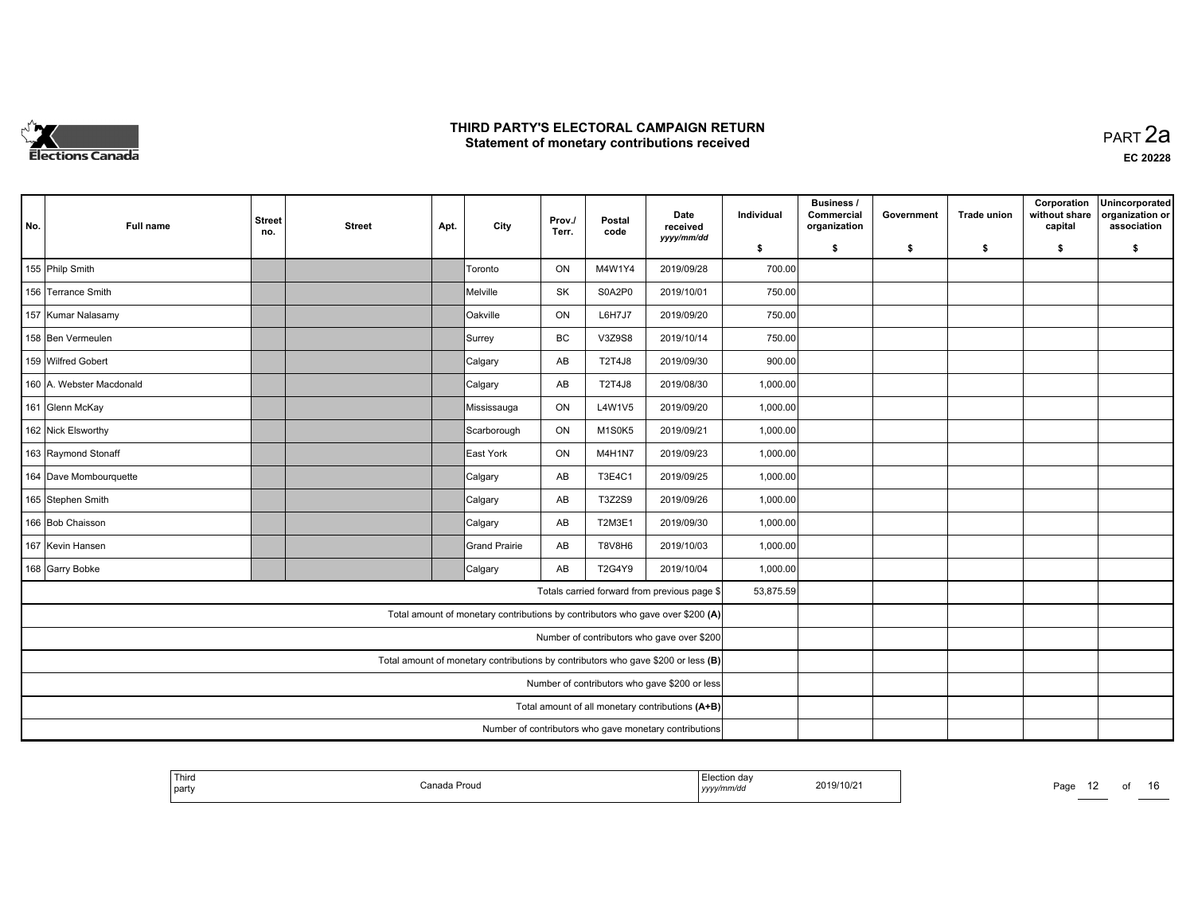

**EC 20228**

| No. | <b>Full name</b>         | <b>Street</b><br>no.                             | <b>Street</b> | Apt. | City                                                                              | Prov./<br>Terr. | Postal<br>code | Date<br>received<br>yyyy/mm/dd                         | Individual | <b>Business /</b><br>Commercial<br>organization | Government | <b>Trade union</b> | Corporation<br>without share<br>capital | Unincorporated<br>organization or<br>association |
|-----|--------------------------|--------------------------------------------------|---------------|------|-----------------------------------------------------------------------------------|-----------------|----------------|--------------------------------------------------------|------------|-------------------------------------------------|------------|--------------------|-----------------------------------------|--------------------------------------------------|
|     |                          |                                                  |               |      |                                                                                   |                 |                |                                                        | \$         | s.                                              | -\$        | -\$                | \$                                      | \$                                               |
|     | 155 Philp Smith          |                                                  |               |      | Toronto                                                                           | ON              | M4W1Y4         | 2019/09/28                                             | 700.00     |                                                 |            |                    |                                         |                                                  |
|     | 156 Terrance Smith       |                                                  |               |      | Melville                                                                          | <b>SK</b>       | S0A2P0         | 2019/10/01                                             | 750.00     |                                                 |            |                    |                                         |                                                  |
|     | 157 Kumar Nalasamy       |                                                  |               |      | <b>Oakville</b>                                                                   | ON              | <b>L6H7J7</b>  | 2019/09/20                                             | 750.00     |                                                 |            |                    |                                         |                                                  |
|     | 158 Ben Vermeulen        |                                                  |               |      | Surrey                                                                            | BC              | V3Z9S8         | 2019/10/14                                             | 750.00     |                                                 |            |                    |                                         |                                                  |
|     | 159 Wilfred Gobert       |                                                  |               |      | Calgary                                                                           | AB              | <b>T2T4J8</b>  | 2019/09/30                                             | 900.00     |                                                 |            |                    |                                         |                                                  |
|     | 160 A. Webster Macdonald |                                                  |               |      | Calgary                                                                           | AB              | <b>T2T4J8</b>  | 2019/08/30                                             | 1,000.00   |                                                 |            |                    |                                         |                                                  |
|     | 161 Glenn McKay          |                                                  |               |      | Mississauga                                                                       | ON              | L4W1V5         | 2019/09/20                                             | 1,000.00   |                                                 |            |                    |                                         |                                                  |
|     | 162 Nick Elsworthy       |                                                  |               |      | Scarborough                                                                       | ON              | M1S0K5         | 2019/09/21                                             | 1,000.00   |                                                 |            |                    |                                         |                                                  |
|     | 163 Raymond Stonaff      |                                                  |               |      | East York                                                                         | ON              | M4H1N7         | 2019/09/23                                             | 1,000.00   |                                                 |            |                    |                                         |                                                  |
|     | 164 Dave Mombourquette   |                                                  |               |      | Calgary                                                                           | AB              | T3E4C1         | 2019/09/25                                             | 1,000.00   |                                                 |            |                    |                                         |                                                  |
|     | 165 Stephen Smith        |                                                  |               |      | Calgary                                                                           | AB              | T3Z2S9         | 2019/09/26                                             | 1,000.00   |                                                 |            |                    |                                         |                                                  |
|     | 166 Bob Chaisson         |                                                  |               |      | Calgary                                                                           | AB              | T2M3E1         | 2019/09/30                                             | 1,000.00   |                                                 |            |                    |                                         |                                                  |
|     | 167 Kevin Hansen         |                                                  |               |      | Grand Prairie                                                                     | AB              | T8V8H6         | 2019/10/03                                             | 1,000.00   |                                                 |            |                    |                                         |                                                  |
|     | 168 Garry Bobke          |                                                  |               |      | Calgary                                                                           | AB              | T2G4Y9         | 2019/10/04                                             | 1,000.00   |                                                 |            |                    |                                         |                                                  |
|     |                          |                                                  |               |      |                                                                                   |                 |                | Totals carried forward from previous page \$           | 53,875.59  |                                                 |            |                    |                                         |                                                  |
|     |                          |                                                  |               |      | Total amount of monetary contributions by contributors who gave over \$200 (A)    |                 |                |                                                        |            |                                                 |            |                    |                                         |                                                  |
|     |                          |                                                  |               |      |                                                                                   |                 |                | Number of contributors who gave over \$200             |            |                                                 |            |                    |                                         |                                                  |
|     |                          |                                                  |               |      | Total amount of monetary contributions by contributors who gave \$200 or less (B) |                 |                |                                                        |            |                                                 |            |                    |                                         |                                                  |
|     |                          | Number of contributors who gave \$200 or less    |               |      |                                                                                   |                 |                |                                                        |            |                                                 |            |                    |                                         |                                                  |
|     |                          | Total amount of all monetary contributions (A+B) |               |      |                                                                                   |                 |                |                                                        |            |                                                 |            |                    |                                         |                                                  |
|     |                          |                                                  |               |      |                                                                                   |                 |                | Number of contributors who gave monetary contributions |            |                                                 |            |                    |                                         |                                                  |

| ' Third<br>I party | Proud<br>Canada I | ' Election dav<br>yyyy/mm/da | 2019/10/21 | Page |
|--------------------|-------------------|------------------------------|------------|------|
|                    |                   |                              |            |      |

12 of 16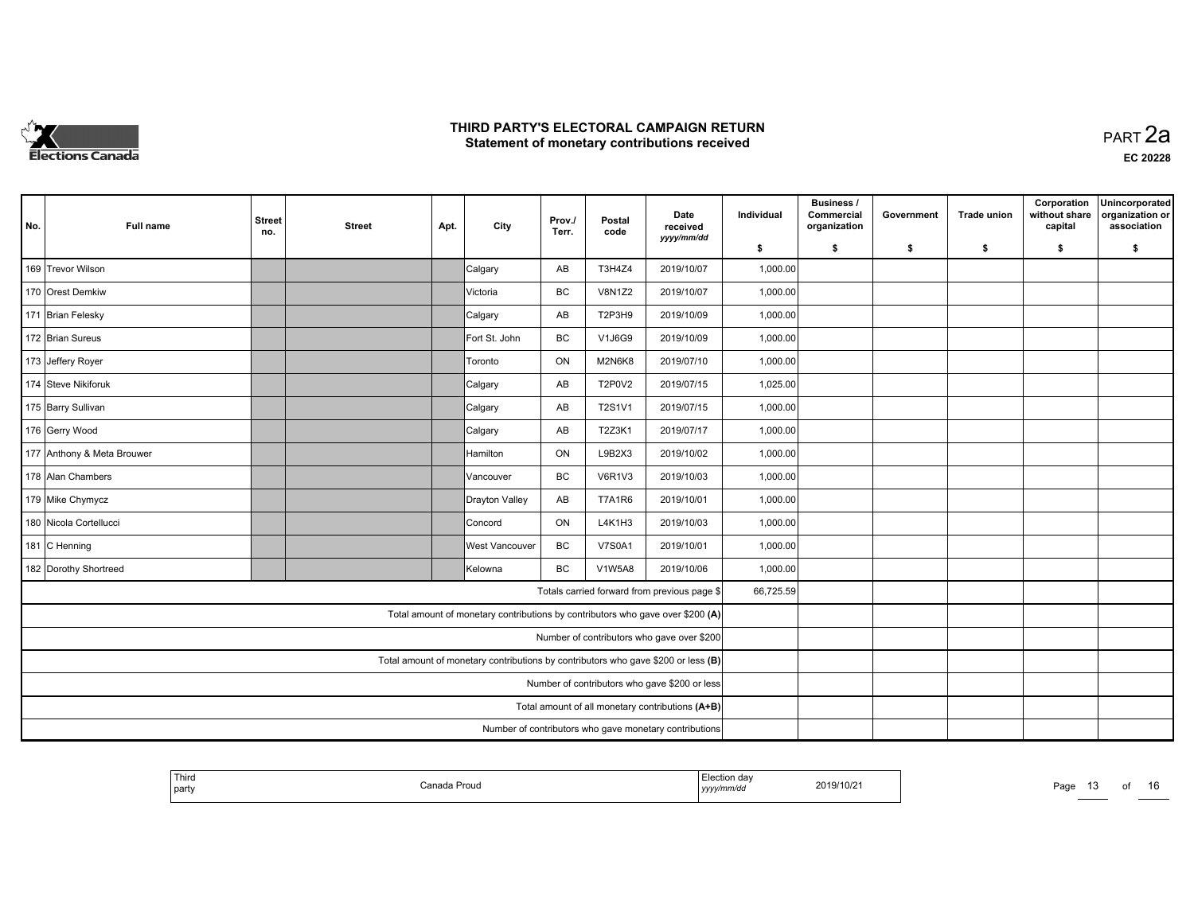

| No. | Full name                  | <b>Street</b><br>no.                             | <b>Street</b> | Apt. | City           | Prov./<br>Terr. | Postal<br>code | Date<br>received<br>yyyy/mm/dd                                                    | Individual | <b>Business /</b><br>Commercial<br>organization | Government | <b>Trade union</b> | Corporation<br>without share<br>capital | Unincorporated<br>organization or<br>association |
|-----|----------------------------|--------------------------------------------------|---------------|------|----------------|-----------------|----------------|-----------------------------------------------------------------------------------|------------|-------------------------------------------------|------------|--------------------|-----------------------------------------|--------------------------------------------------|
|     |                            |                                                  |               |      |                |                 |                |                                                                                   | \$         | s.                                              | -\$        | -\$                | \$                                      | \$                                               |
|     | 169 Trevor Wilson          |                                                  |               |      | Calgary        | AB              | T3H4Z4         | 2019/10/07                                                                        | 1,000.00   |                                                 |            |                    |                                         |                                                  |
|     | 170 Orest Demkiw           |                                                  |               |      | Victoria       | BC              | <b>V8N1Z2</b>  | 2019/10/07                                                                        | 1,000.00   |                                                 |            |                    |                                         |                                                  |
|     | 171 Brian Felesky          |                                                  |               |      | Calgary        | AB              | T2P3H9         | 2019/10/09                                                                        | 1,000.00   |                                                 |            |                    |                                         |                                                  |
|     | 172 Brian Sureus           |                                                  |               |      | Fort St. John  | BC              | V1J6G9         | 2019/10/09                                                                        | 1,000.00   |                                                 |            |                    |                                         |                                                  |
|     | 173 Jeffery Royer          |                                                  |               |      | Toronto        | ON              | M2N6K8         | 2019/07/10                                                                        | 1,000.00   |                                                 |            |                    |                                         |                                                  |
|     | 174 Steve Nikiforuk        |                                                  |               |      | Calgary        | AB              | <b>T2P0V2</b>  | 2019/07/15                                                                        | 1,025.00   |                                                 |            |                    |                                         |                                                  |
|     | 175 Barry Sullivan         |                                                  |               |      | Calgary        | AB              | T2S1V1         | 2019/07/15                                                                        | 1,000.00   |                                                 |            |                    |                                         |                                                  |
|     | 176 Gerry Wood             |                                                  |               |      | Calgary        | AB              | T2Z3K1         | 2019/07/17                                                                        | 1,000.00   |                                                 |            |                    |                                         |                                                  |
|     | 177 Anthony & Meta Brouwer |                                                  |               |      | Hamilton       | ON              | L9B2X3         | 2019/10/02                                                                        | 1,000.00   |                                                 |            |                    |                                         |                                                  |
|     | 178 Alan Chambers          |                                                  |               |      | Vancouver      | BC              | <b>V6R1V3</b>  | 2019/10/03                                                                        | 1,000.00   |                                                 |            |                    |                                         |                                                  |
|     | 179 Mike Chymycz           |                                                  |               |      | Drayton Valley | AB              | <b>T7A1R6</b>  | 2019/10/01                                                                        | 1,000.00   |                                                 |            |                    |                                         |                                                  |
|     | 180 Nicola Cortellucci     |                                                  |               |      | Concord        | <b>ON</b>       | L4K1H3         | 2019/10/03                                                                        | 1,000.00   |                                                 |            |                    |                                         |                                                  |
|     | 181 C Henning              |                                                  |               |      | West Vancouver | BC              | <b>V7S0A1</b>  | 2019/10/01                                                                        | 1,000.00   |                                                 |            |                    |                                         |                                                  |
|     | 182 Dorothy Shortreed      |                                                  |               |      | Kelowna        | BC              | <b>V1W5A8</b>  | 2019/10/06                                                                        | 1,000.00   |                                                 |            |                    |                                         |                                                  |
|     |                            |                                                  |               |      |                |                 |                | Totals carried forward from previous page \$                                      | 66,725.59  |                                                 |            |                    |                                         |                                                  |
|     |                            |                                                  |               |      |                |                 |                | Total amount of monetary contributions by contributors who gave over \$200 (A)    |            |                                                 |            |                    |                                         |                                                  |
|     |                            |                                                  |               |      |                |                 |                | Number of contributors who gave over \$200                                        |            |                                                 |            |                    |                                         |                                                  |
|     |                            |                                                  |               |      |                |                 |                | Total amount of monetary contributions by contributors who gave \$200 or less (B) |            |                                                 |            |                    |                                         |                                                  |
|     |                            | Number of contributors who gave \$200 or less    |               |      |                |                 |                |                                                                                   |            |                                                 |            |                    |                                         |                                                  |
|     |                            | Total amount of all monetary contributions (A+B) |               |      |                |                 |                |                                                                                   |            |                                                 |            |                    |                                         |                                                  |
|     |                            |                                                  |               |      |                |                 |                | Number of contributors who gave monetary contributions                            |            |                                                 |            |                    |                                         |                                                  |

| Third<br>  party | Canada Proud | Election day<br>yyyymmaa | 2019/10/21 | Page<br>. . |  |  |
|------------------|--------------|--------------------------|------------|-------------|--|--|
|                  |              |                          |            |             |  |  |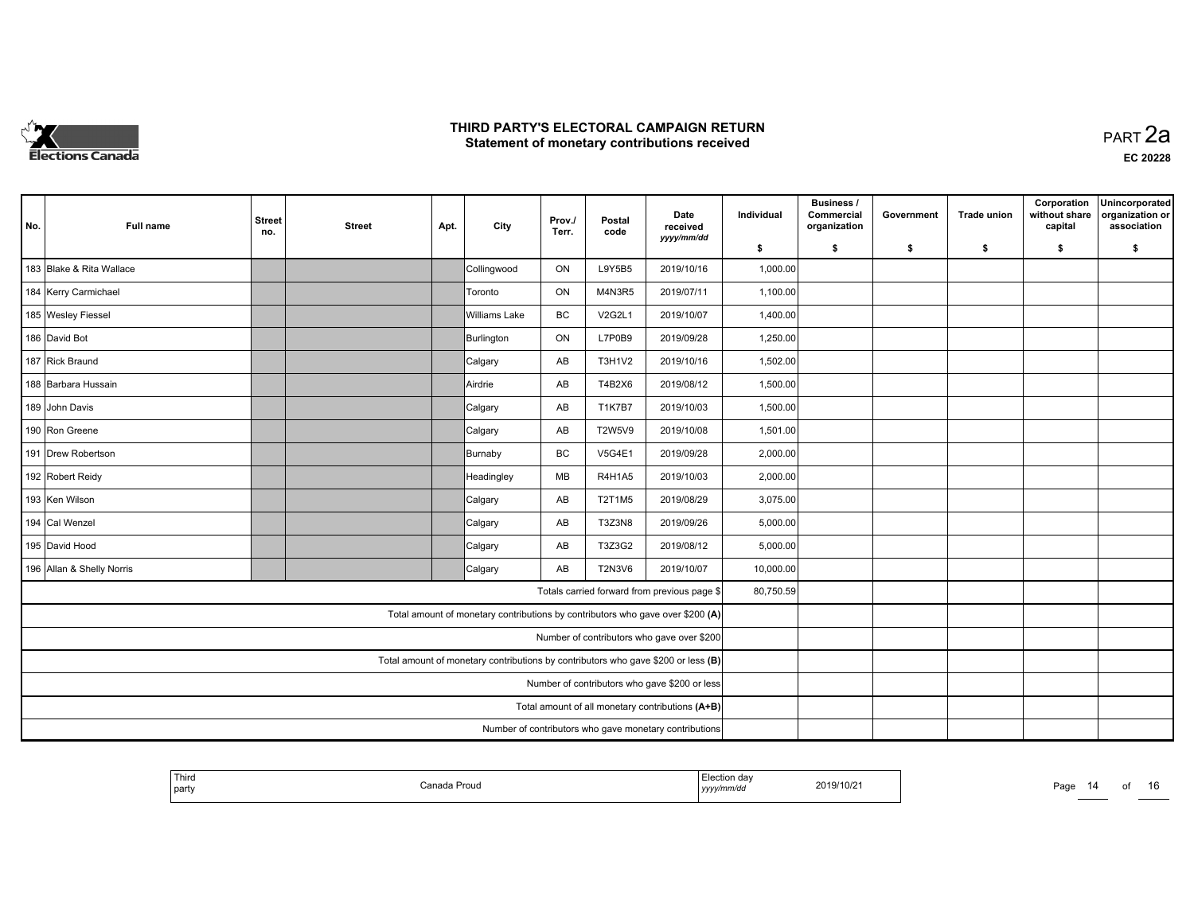

**EC 20228**

| No. | <b>Full name</b>          | <b>Street</b><br>no.                          | <b>Street</b> | Apt. | City                                                                              | Prov./<br>Terr. | Postal<br>code | Date<br>received<br>yyyy/mm/dd                         | Individual | Business /<br>Commercial<br>organization | Government | <b>Trade union</b> | Corporation<br>without share<br>capital | Unincorporated<br>organization or<br>association |
|-----|---------------------------|-----------------------------------------------|---------------|------|-----------------------------------------------------------------------------------|-----------------|----------------|--------------------------------------------------------|------------|------------------------------------------|------------|--------------------|-----------------------------------------|--------------------------------------------------|
|     |                           |                                               |               |      |                                                                                   |                 |                |                                                        | \$         | \$                                       | -\$        | -\$                | \$                                      | \$                                               |
|     | 183 Blake & Rita Wallace  |                                               |               |      | Collingwood                                                                       | ON              | L9Y5B5         | 2019/10/16                                             | 1,000.00   |                                          |            |                    |                                         |                                                  |
|     | 184 Kerry Carmichael      |                                               |               |      | Toronto                                                                           | ON              | M4N3R5         | 2019/07/11                                             | 1,100.00   |                                          |            |                    |                                         |                                                  |
|     | 185 Wesley Fiessel        |                                               |               |      | Williams Lake                                                                     | BC              | <b>V2G2L1</b>  | 2019/10/07                                             | 1,400.00   |                                          |            |                    |                                         |                                                  |
|     | 186 David Bot             |                                               |               |      | Burlington                                                                        | ON              | L7P0B9         | 2019/09/28                                             | 1,250.00   |                                          |            |                    |                                         |                                                  |
|     | 187 Rick Braund           |                                               |               |      | Calgary                                                                           | AB              | <b>T3H1V2</b>  | 2019/10/16                                             | 1,502.00   |                                          |            |                    |                                         |                                                  |
|     | 188 Barbara Hussain       |                                               |               |      | Airdrie                                                                           | AB              | T4B2X6         | 2019/08/12                                             | 1,500.00   |                                          |            |                    |                                         |                                                  |
|     | 189 John Davis            |                                               |               |      | Calgary                                                                           | AB              | <b>T1K7B7</b>  | 2019/10/03                                             | 1,500.00   |                                          |            |                    |                                         |                                                  |
|     | 190 Ron Greene            |                                               |               |      | Calgary                                                                           | AB              | <b>T2W5V9</b>  | 2019/10/08                                             | 1,501.00   |                                          |            |                    |                                         |                                                  |
|     | 191 Drew Robertson        |                                               |               |      | Burnaby                                                                           | BC              | <b>V5G4E1</b>  | 2019/09/28                                             | 2,000.00   |                                          |            |                    |                                         |                                                  |
|     | 192 Robert Reidy          |                                               |               |      | Headingley                                                                        | MB              | <b>R4H1A5</b>  | 2019/10/03                                             | 2,000.00   |                                          |            |                    |                                         |                                                  |
|     | 193 Ken Wilson            |                                               |               |      | Calgary                                                                           | AB              | <b>T2T1M5</b>  | 2019/08/29                                             | 3,075.00   |                                          |            |                    |                                         |                                                  |
|     | 194 Cal Wenzel            |                                               |               |      | Calgary                                                                           | AB              | <b>T3Z3N8</b>  | 2019/09/26                                             | 5,000.00   |                                          |            |                    |                                         |                                                  |
|     | 195 David Hood            |                                               |               |      | Calgary                                                                           | AB              | T3Z3G2         | 2019/08/12                                             | 5,000.00   |                                          |            |                    |                                         |                                                  |
|     | 196 Allan & Shelly Norris |                                               |               |      | Calgary                                                                           | AB              | <b>T2N3V6</b>  | 2019/10/07                                             | 10,000.00  |                                          |            |                    |                                         |                                                  |
|     |                           |                                               |               |      |                                                                                   |                 |                | Totals carried forward from previous page \$           | 80,750.59  |                                          |            |                    |                                         |                                                  |
|     |                           |                                               |               |      | Total amount of monetary contributions by contributors who gave over \$200 (A)    |                 |                |                                                        |            |                                          |            |                    |                                         |                                                  |
|     |                           |                                               |               |      |                                                                                   |                 |                | Number of contributors who gave over \$200             |            |                                          |            |                    |                                         |                                                  |
|     |                           |                                               |               |      | Total amount of monetary contributions by contributors who gave \$200 or less (B) |                 |                |                                                        |            |                                          |            |                    |                                         |                                                  |
|     |                           | Number of contributors who gave \$200 or less |               |      |                                                                                   |                 |                |                                                        |            |                                          |            |                    |                                         |                                                  |
|     |                           |                                               |               |      |                                                                                   |                 |                |                                                        |            |                                          |            |                    |                                         |                                                  |
|     |                           |                                               |               |      |                                                                                   |                 |                | Number of contributors who gave monetary contributions |            |                                          |            |                    |                                         |                                                  |

| 2019/10/21<br>'a Prouc<br>Canada<br>  party<br>v/mm/ac<br>,,,,, |
|-----------------------------------------------------------------|
|-----------------------------------------------------------------|

Page 14 of 16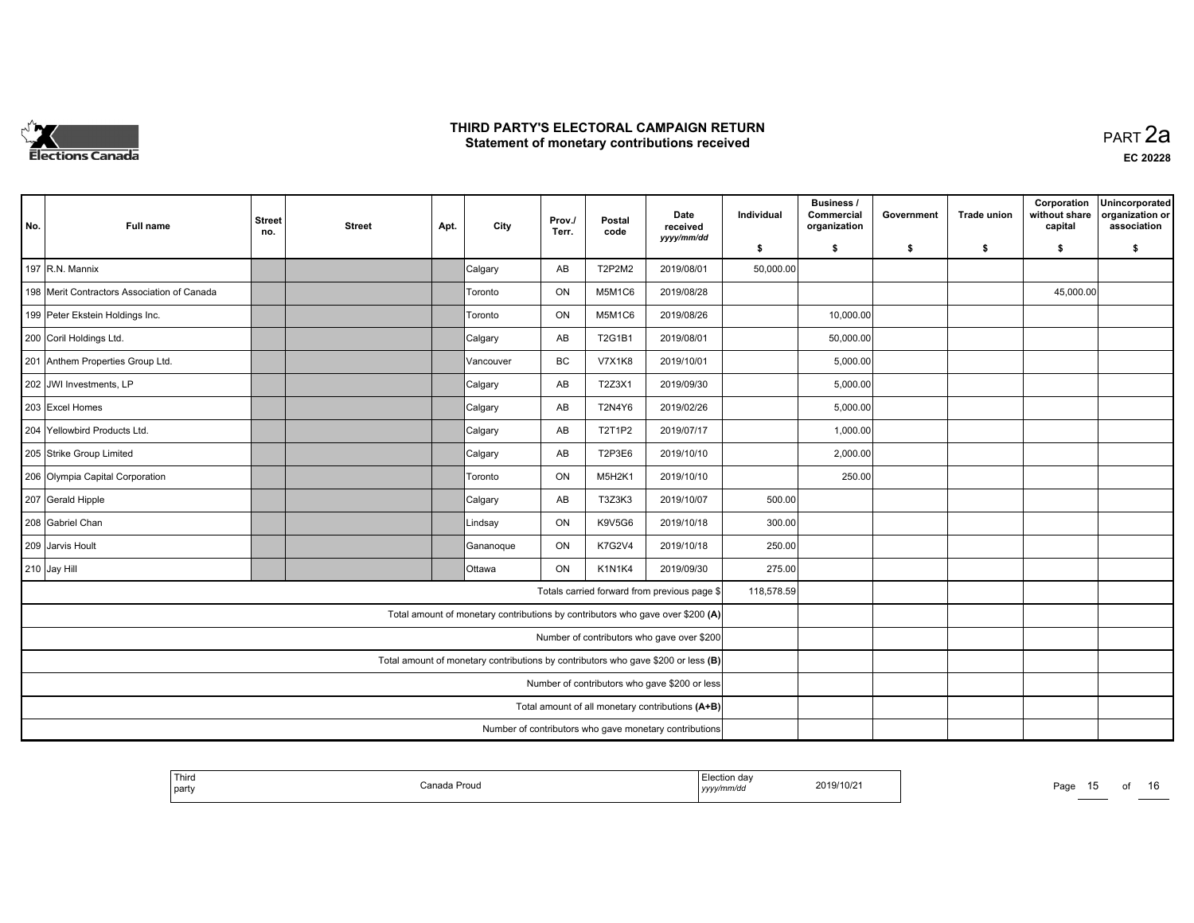

|     |                                             |                                               |               |      |                                                                                   |                 |                | Date                                         | Individual | <b>Business /</b><br>Commercial | Government | <b>Trade union</b> | Corporation<br>without share | Unincorporated<br>organization or |
|-----|---------------------------------------------|-----------------------------------------------|---------------|------|-----------------------------------------------------------------------------------|-----------------|----------------|----------------------------------------------|------------|---------------------------------|------------|--------------------|------------------------------|-----------------------------------|
| No. | <b>Full name</b>                            | <b>Street</b><br>no.                          | <b>Street</b> | Apt. | City                                                                              | Prov./<br>Terr. | Postal<br>code | received                                     |            | organization                    |            |                    | capital                      | association                       |
|     |                                             |                                               |               |      |                                                                                   |                 |                | yyyy/mm/dd                                   | \$         | s.                              | \$         | \$                 | \$                           | \$                                |
|     | 197 $R.N.$ Mannix                           |                                               |               |      | Calgary                                                                           | AB              | T2P2M2         | 2019/08/01                                   | 50,000.00  |                                 |            |                    |                              |                                   |
|     | 198 Merit Contractors Association of Canada |                                               |               |      | Toronto                                                                           | ON              | M5M1C6         | 2019/08/28                                   |            |                                 |            |                    | 45,000.00                    |                                   |
|     | 199 Peter Ekstein Holdings Inc.             |                                               |               |      | Toronto                                                                           | ON              | M5M1C6         | 2019/08/26                                   |            | 10,000.00                       |            |                    |                              |                                   |
|     | 200 Coril Holdings Ltd.                     |                                               |               |      | Calgary                                                                           | AB              | <b>T2G1B1</b>  | 2019/08/01                                   |            | 50,000.00                       |            |                    |                              |                                   |
|     | 201 Anthem Properties Group Ltd.            |                                               |               |      | Vancouver                                                                         | <b>BC</b>       | <b>V7X1K8</b>  | 2019/10/01                                   |            | 5,000.00                        |            |                    |                              |                                   |
|     | 202 JWI Investments, LP                     |                                               |               |      | Calgary                                                                           | AB              | T2Z3X1         | 2019/09/30                                   |            | 5,000.00                        |            |                    |                              |                                   |
|     | 203 Excel Homes                             |                                               |               |      | Calgary                                                                           | AB              | <b>T2N4Y6</b>  | 2019/02/26                                   |            | 5,000.00                        |            |                    |                              |                                   |
|     | 204 Yellowbird Products Ltd.                |                                               |               |      | Calgary                                                                           | AB              | T2T1P2         | 2019/07/17                                   |            | 1,000.00                        |            |                    |                              |                                   |
|     | 205 Strike Group Limited                    |                                               |               |      | Calgary                                                                           | AB              | T2P3E6         | 2019/10/10                                   |            | 2,000.00                        |            |                    |                              |                                   |
|     | 206 Olympia Capital Corporation             |                                               |               |      | Toronto                                                                           | ON              | M5H2K1         | 2019/10/10                                   |            | 250.00                          |            |                    |                              |                                   |
|     | 207 Gerald Hipple                           |                                               |               |      | Calgary                                                                           | AB              | T3Z3K3         | 2019/10/07                                   | 500.00     |                                 |            |                    |                              |                                   |
|     | 208 Gabriel Chan                            |                                               |               |      | Lindsay                                                                           | ON              | <b>K9V5G6</b>  | 2019/10/18                                   | 300.00     |                                 |            |                    |                              |                                   |
|     | 209 Jarvis Hoult                            |                                               |               |      | Gananoque                                                                         | ON              | <b>K7G2V4</b>  | 2019/10/18                                   | 250.00     |                                 |            |                    |                              |                                   |
|     | 210 Jay Hill                                |                                               |               |      | <b>Ottawa</b>                                                                     | ON              | K1N1K4         | 2019/09/30                                   | 275.00     |                                 |            |                    |                              |                                   |
|     |                                             |                                               |               |      |                                                                                   |                 |                | Totals carried forward from previous page \$ | 118,578.59 |                                 |            |                    |                              |                                   |
|     |                                             |                                               |               |      | Total amount of monetary contributions by contributors who gave over \$200 (A)    |                 |                |                                              |            |                                 |            |                    |                              |                                   |
|     |                                             |                                               |               |      |                                                                                   |                 |                | Number of contributors who gave over \$200   |            |                                 |            |                    |                              |                                   |
|     |                                             |                                               |               |      | Total amount of monetary contributions by contributors who gave \$200 or less (B) |                 |                |                                              |            |                                 |            |                    |                              |                                   |
|     |                                             | Number of contributors who gave \$200 or less |               |      |                                                                                   |                 |                |                                              |            |                                 |            |                    |                              |                                   |
|     |                                             |                                               |               |      |                                                                                   |                 |                |                                              |            |                                 |            |                    |                              |                                   |
|     |                                             |                                               |               |      |                                                                                   |                 |                |                                              |            |                                 |            |                    |                              |                                   |

| Third<br>on dav<br>2019/10/2<br>Proud<br>"<br>Page<br>party<br>.<br>$1$ <i>yyyy</i> | റെ |
|-------------------------------------------------------------------------------------|----|
|-------------------------------------------------------------------------------------|----|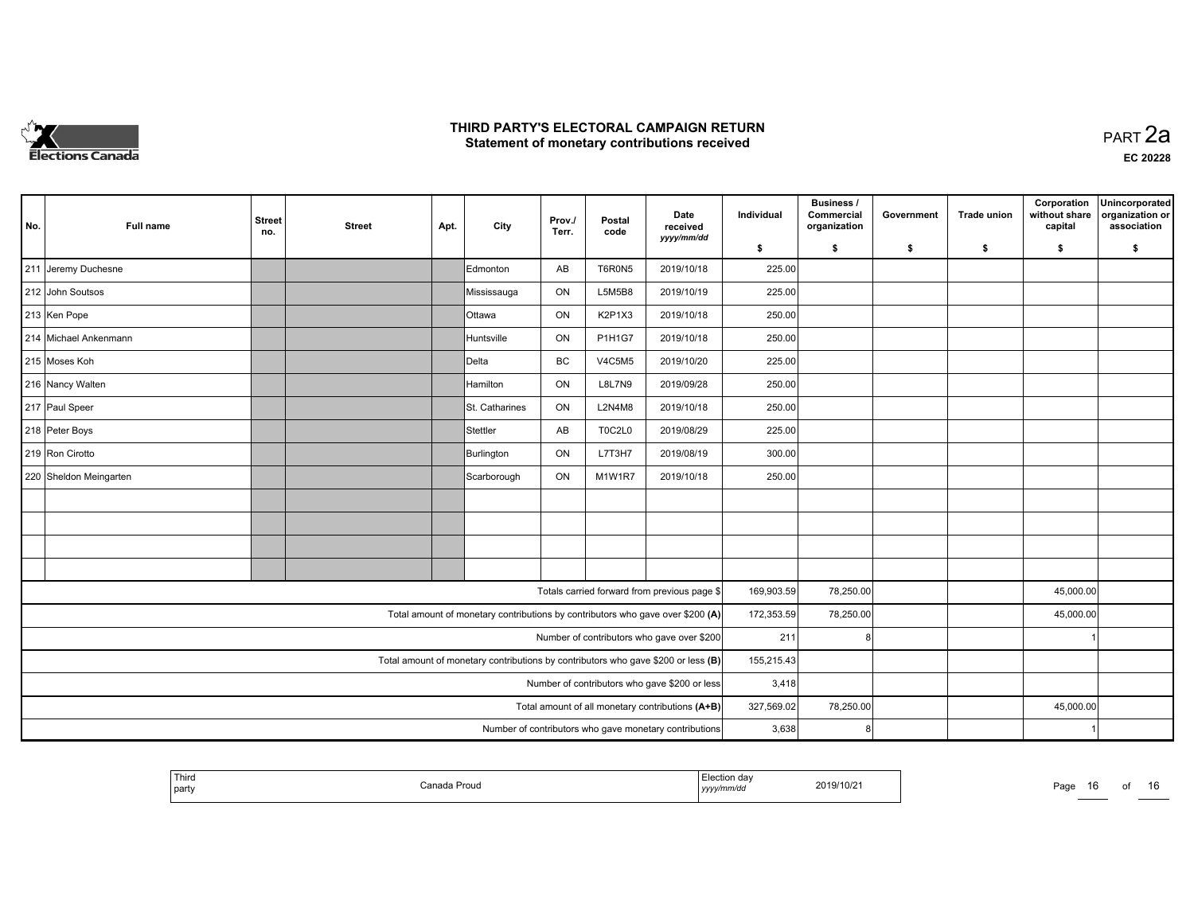

|                                                                                   |                        |                      |               |      |                                                                                |                 |                |                                                        |            | <b>Business /</b>          |            |                    | Corporation              | Unincorporated                 |
|-----------------------------------------------------------------------------------|------------------------|----------------------|---------------|------|--------------------------------------------------------------------------------|-----------------|----------------|--------------------------------------------------------|------------|----------------------------|------------|--------------------|--------------------------|--------------------------------|
| No.                                                                               | <b>Full name</b>       | <b>Street</b><br>no. | <b>Street</b> | Apt. | City                                                                           | Prov./<br>Terr. | Postal<br>code | Date<br>received                                       | Individual | Commercial<br>organization | Government | <b>Trade union</b> | without share<br>capital | organization or<br>association |
|                                                                                   |                        |                      |               |      |                                                                                |                 |                | yyyy/mm/dd                                             | \$         | \$                         | \$         | -\$                | \$                       | \$                             |
|                                                                                   | 211 Jeremy Duchesne    |                      |               |      | Edmonton                                                                       | AB              | T6R0N5         | 2019/10/18                                             | 225.00     |                            |            |                    |                          |                                |
|                                                                                   | 212 John Soutsos       |                      |               |      | Mississauga                                                                    | ON              | L5M5B8         | 2019/10/19                                             | 225.00     |                            |            |                    |                          |                                |
|                                                                                   | 213 Ken Pope           |                      |               |      | <b>Ottawa</b>                                                                  | ON              | K2P1X3         | 2019/10/18                                             | 250.00     |                            |            |                    |                          |                                |
|                                                                                   | 214 Michael Ankenmann  |                      |               |      | Huntsville                                                                     | ON              | P1H1G7         | 2019/10/18                                             | 250.00     |                            |            |                    |                          |                                |
|                                                                                   | 215 Moses Koh          |                      |               |      | <b>IDelta</b>                                                                  | <b>BC</b>       | <b>V4C5M5</b>  | 2019/10/20                                             | 225.00     |                            |            |                    |                          |                                |
|                                                                                   | 216 Nancy Walten       |                      |               |      | Hamilton                                                                       | ON              | <b>L8L7N9</b>  | 2019/09/28                                             | 250.00     |                            |            |                    |                          |                                |
|                                                                                   | 217 Paul Speer         |                      |               |      | St. Catharines                                                                 | ON              | <b>L2N4M8</b>  | 2019/10/18                                             | 250.00     |                            |            |                    |                          |                                |
|                                                                                   | 218 Peter Boys         |                      |               |      | Stettler                                                                       | AB              | <b>T0C2L0</b>  | 2019/08/29                                             | 225.00     |                            |            |                    |                          |                                |
|                                                                                   | 219 Ron Cirotto        |                      |               |      | Burlington                                                                     | ON              | L7T3H7         | 2019/08/19                                             | 300.00     |                            |            |                    |                          |                                |
|                                                                                   | 220 Sheldon Meingarten |                      |               |      | Scarborough                                                                    | ON              | M1W1R7         | 2019/10/18                                             | 250.00     |                            |            |                    |                          |                                |
|                                                                                   |                        |                      |               |      |                                                                                |                 |                |                                                        |            |                            |            |                    |                          |                                |
|                                                                                   |                        |                      |               |      |                                                                                |                 |                |                                                        |            |                            |            |                    |                          |                                |
|                                                                                   |                        |                      |               |      |                                                                                |                 |                |                                                        |            |                            |            |                    |                          |                                |
|                                                                                   |                        |                      |               |      |                                                                                |                 |                |                                                        |            |                            |            |                    |                          |                                |
|                                                                                   |                        |                      |               |      |                                                                                |                 |                | Totals carried forward from previous page \$           | 169,903.59 | 78,250.00                  |            |                    | 45,000.00                |                                |
|                                                                                   |                        |                      |               |      | Total amount of monetary contributions by contributors who gave over \$200 (A) |                 |                |                                                        | 172,353.59 | 78,250.00                  |            |                    | 45,000.00                |                                |
|                                                                                   |                        |                      |               |      |                                                                                |                 |                | Number of contributors who gave over \$200             | 211        |                            |            |                    |                          |                                |
| Total amount of monetary contributions by contributors who gave \$200 or less (B) |                        |                      |               |      |                                                                                |                 |                |                                                        |            |                            |            |                    |                          |                                |
| Number of contributors who gave \$200 or less                                     |                        |                      |               |      |                                                                                |                 |                |                                                        |            | 3,418                      |            |                    |                          |                                |
| Total amount of all monetary contributions (A+B)                                  |                        |                      |               |      |                                                                                |                 |                |                                                        |            | 78,250.00                  |            |                    | 45,000.00                |                                |
|                                                                                   |                        |                      |               |      |                                                                                |                 |                | Number of contributors who gave monetary contributions | 3,638      |                            |            |                    |                          |                                |

|  | Third<br>part | Proug | יים ח<br>,,,,,,,,,<br><br>. | 2019/10/21 | Page | . . | റി | 10. |
|--|---------------|-------|-----------------------------|------------|------|-----|----|-----|
|--|---------------|-------|-----------------------------|------------|------|-----|----|-----|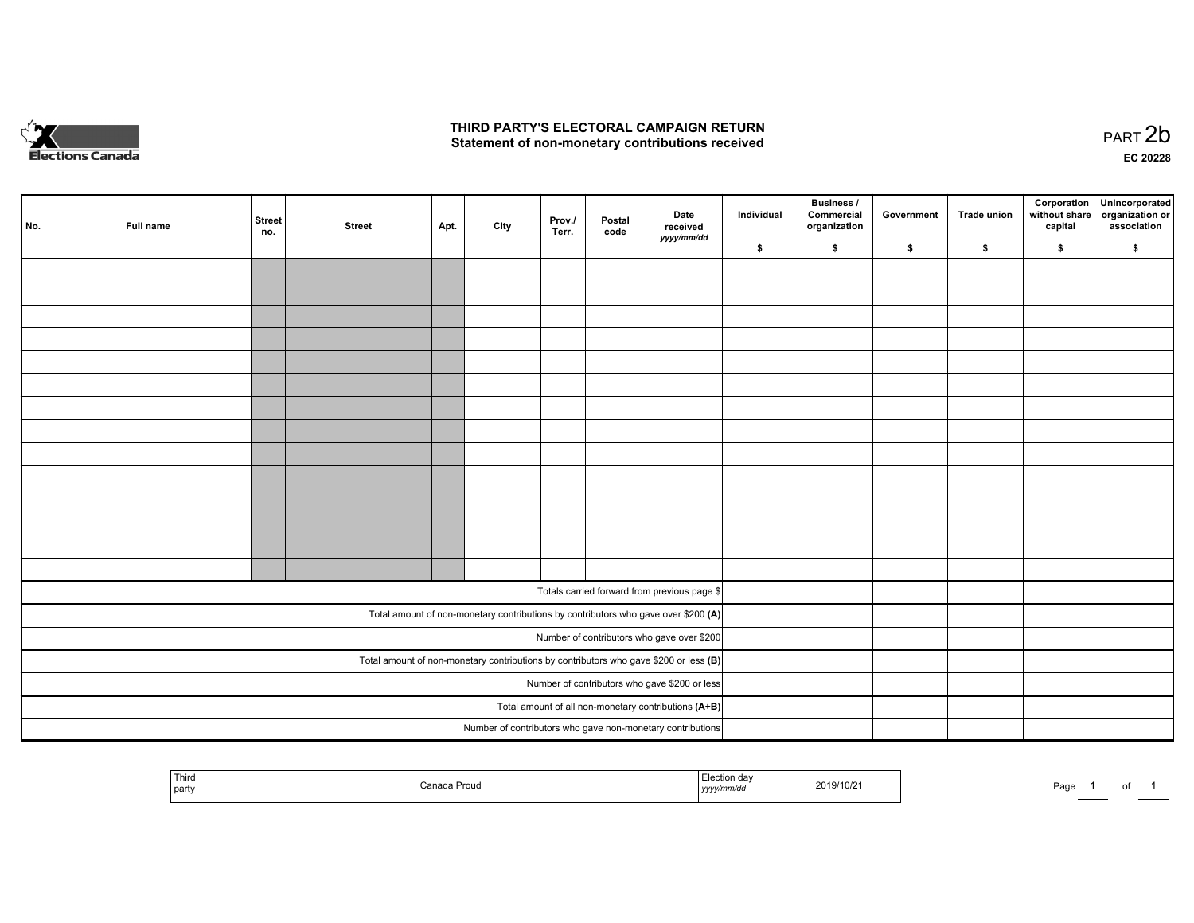

of 1

|                                                                                         | No.                                                        | Full name | <b>Street</b><br>no. | <b>Street</b> | Apt. | City | Prov.<br>Terr. | Postal<br>code | Date<br>received<br>yyyy/mm/dd                                                     | Individual | <b>Business /</b><br>Commercial<br>organization | Government | Trade union | Corporation<br>without share<br>capital | Unincorporated<br>organization or<br>association |
|-----------------------------------------------------------------------------------------|------------------------------------------------------------|-----------|----------------------|---------------|------|------|----------------|----------------|------------------------------------------------------------------------------------|------------|-------------------------------------------------|------------|-------------|-----------------------------------------|--------------------------------------------------|
|                                                                                         |                                                            |           |                      |               |      |      |                |                |                                                                                    | \$         | \$                                              | \$         | \$          | \$                                      | \$                                               |
|                                                                                         |                                                            |           |                      |               |      |      |                |                |                                                                                    |            |                                                 |            |             |                                         |                                                  |
|                                                                                         |                                                            |           |                      |               |      |      |                |                |                                                                                    |            |                                                 |            |             |                                         |                                                  |
|                                                                                         |                                                            |           |                      |               |      |      |                |                |                                                                                    |            |                                                 |            |             |                                         |                                                  |
|                                                                                         |                                                            |           |                      |               |      |      |                |                |                                                                                    |            |                                                 |            |             |                                         |                                                  |
|                                                                                         |                                                            |           |                      |               |      |      |                |                |                                                                                    |            |                                                 |            |             |                                         |                                                  |
|                                                                                         |                                                            |           |                      |               |      |      |                |                |                                                                                    |            |                                                 |            |             |                                         |                                                  |
|                                                                                         |                                                            |           |                      |               |      |      |                |                |                                                                                    |            |                                                 |            |             |                                         |                                                  |
|                                                                                         |                                                            |           |                      |               |      |      |                |                |                                                                                    |            |                                                 |            |             |                                         |                                                  |
|                                                                                         |                                                            |           |                      |               |      |      |                |                |                                                                                    |            |                                                 |            |             |                                         |                                                  |
|                                                                                         |                                                            |           |                      |               |      |      |                |                |                                                                                    |            |                                                 |            |             |                                         |                                                  |
|                                                                                         |                                                            |           |                      |               |      |      |                |                |                                                                                    |            |                                                 |            |             |                                         |                                                  |
|                                                                                         |                                                            |           |                      |               |      |      |                |                |                                                                                    |            |                                                 |            |             |                                         |                                                  |
|                                                                                         |                                                            |           |                      |               |      |      |                |                |                                                                                    |            |                                                 |            |             |                                         |                                                  |
|                                                                                         |                                                            |           |                      |               |      |      |                |                |                                                                                    |            |                                                 |            |             |                                         |                                                  |
|                                                                                         |                                                            |           |                      |               |      |      |                |                |                                                                                    |            |                                                 |            |             |                                         |                                                  |
|                                                                                         |                                                            |           |                      |               |      |      |                |                | Totals carried forward from previous page \$                                       |            |                                                 |            |             |                                         |                                                  |
|                                                                                         |                                                            |           |                      |               |      |      |                |                | Total amount of non-monetary contributions by contributors who gave over \$200 (A) |            |                                                 |            |             |                                         |                                                  |
| Number of contributors who gave over \$200                                              |                                                            |           |                      |               |      |      |                |                |                                                                                    |            |                                                 |            |             |                                         |                                                  |
| Total amount of non-monetary contributions by contributors who gave \$200 or less $(B)$ |                                                            |           |                      |               |      |      |                |                |                                                                                    |            |                                                 |            |             |                                         |                                                  |
| Number of contributors who gave \$200 or less                                           |                                                            |           |                      |               |      |      |                |                |                                                                                    |            |                                                 |            |             |                                         |                                                  |
| Total amount of all non-monetary contributions (A+B)                                    |                                                            |           |                      |               |      |      |                |                |                                                                                    |            |                                                 |            |             |                                         |                                                  |
|                                                                                         |                                                            |           |                      |               |      |      |                |                |                                                                                    |            |                                                 |            |             |                                         |                                                  |
|                                                                                         | Number of contributors who gave non-monetary contributions |           |                      |               |      |      |                |                |                                                                                    |            |                                                 |            |             |                                         |                                                  |

| Third<br>part | Proud<br>`anads |  | 2019/10/21 | Page |  |
|---------------|-----------------|--|------------|------|--|
|---------------|-----------------|--|------------|------|--|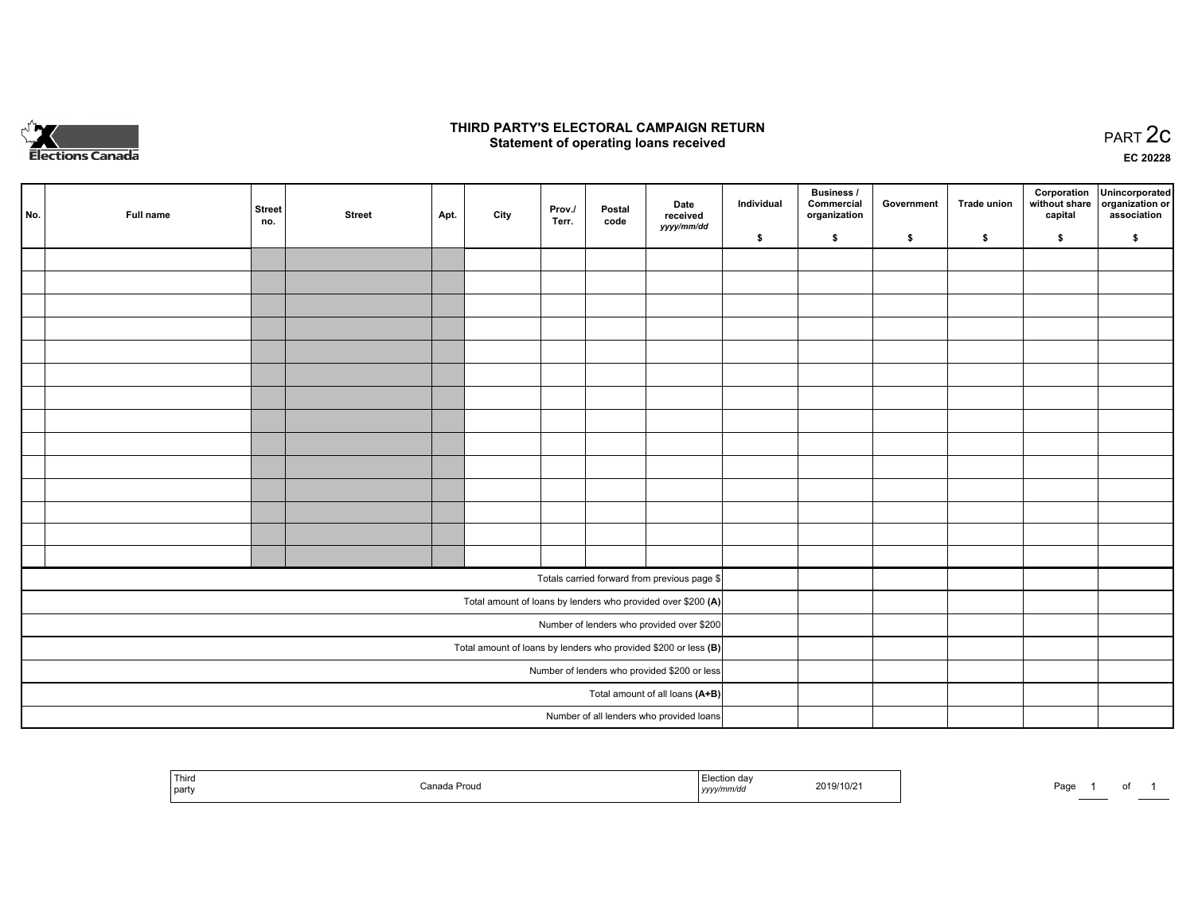

## **THIRD PARTY'S ELECTORAL CAMPAIGN RETURN STATE:** PRACT OF OPPRESS TO PART 2C STATE STATE STATE STATE STATE STATE STATE STATE STATE STATE STATE STATE STA<br>PART 2C Statement of operating loans received

|                                                                 | No. | Full name | <b>Street</b><br>no. | <b>Street</b> | Apt. | City | Prov./<br>Terr. | Postal<br>code | Date<br>received                                             | Individual | <b>Business /</b><br>Commercial<br>organization | Government | Trade union | capital | Corporation Unincorporated<br>without share   organization or<br>association |
|-----------------------------------------------------------------|-----|-----------|----------------------|---------------|------|------|-----------------|----------------|--------------------------------------------------------------|------------|-------------------------------------------------|------------|-------------|---------|------------------------------------------------------------------------------|
|                                                                 |     |           |                      |               |      |      |                 |                | yyyy/mm/dd                                                   | \$         | \$                                              | \$         | \$          | \$      | \$                                                                           |
|                                                                 |     |           |                      |               |      |      |                 |                |                                                              |            |                                                 |            |             |         |                                                                              |
|                                                                 |     |           |                      |               |      |      |                 |                |                                                              |            |                                                 |            |             |         |                                                                              |
|                                                                 |     |           |                      |               |      |      |                 |                |                                                              |            |                                                 |            |             |         |                                                                              |
|                                                                 |     |           |                      |               |      |      |                 |                |                                                              |            |                                                 |            |             |         |                                                                              |
|                                                                 |     |           |                      |               |      |      |                 |                |                                                              |            |                                                 |            |             |         |                                                                              |
|                                                                 |     |           |                      |               |      |      |                 |                |                                                              |            |                                                 |            |             |         |                                                                              |
|                                                                 |     |           |                      |               |      |      |                 |                |                                                              |            |                                                 |            |             |         |                                                                              |
|                                                                 |     |           |                      |               |      |      |                 |                |                                                              |            |                                                 |            |             |         |                                                                              |
|                                                                 |     |           |                      |               |      |      |                 |                |                                                              |            |                                                 |            |             |         |                                                                              |
|                                                                 |     |           |                      |               |      |      |                 |                |                                                              |            |                                                 |            |             |         |                                                                              |
|                                                                 |     |           |                      |               |      |      |                 |                |                                                              |            |                                                 |            |             |         |                                                                              |
|                                                                 |     |           |                      |               |      |      |                 |                |                                                              |            |                                                 |            |             |         |                                                                              |
|                                                                 |     |           |                      |               |      |      |                 |                |                                                              |            |                                                 |            |             |         |                                                                              |
|                                                                 |     |           |                      |               |      |      |                 |                |                                                              |            |                                                 |            |             |         |                                                                              |
|                                                                 |     |           |                      |               |      |      |                 |                | Totals carried forward from previous page \$                 |            |                                                 |            |             |         |                                                                              |
|                                                                 |     |           |                      |               |      |      |                 |                | Total amount of loans by lenders who provided over \$200 (A) |            |                                                 |            |             |         |                                                                              |
| Number of lenders who provided over \$200                       |     |           |                      |               |      |      |                 |                |                                                              |            |                                                 |            |             |         |                                                                              |
| Total amount of loans by lenders who provided \$200 or less (B) |     |           |                      |               |      |      |                 |                |                                                              |            |                                                 |            |             |         |                                                                              |
| Number of lenders who provided \$200 or less                    |     |           |                      |               |      |      |                 |                |                                                              |            |                                                 |            |             |         |                                                                              |
|                                                                 |     |           |                      |               |      |      |                 |                | Total amount of all loans (A+B)                              |            |                                                 |            |             |         |                                                                              |
|                                                                 |     |           |                      |               |      |      |                 |                | Number of all lenders who provided loans                     |            |                                                 |            |             |         |                                                                              |

| ' Thira<br>party | a Proud | 'on da<br>2019/10/21<br>,,,,, | Page<br>. |
|------------------|---------|-------------------------------|-----------|
|------------------|---------|-------------------------------|-----------|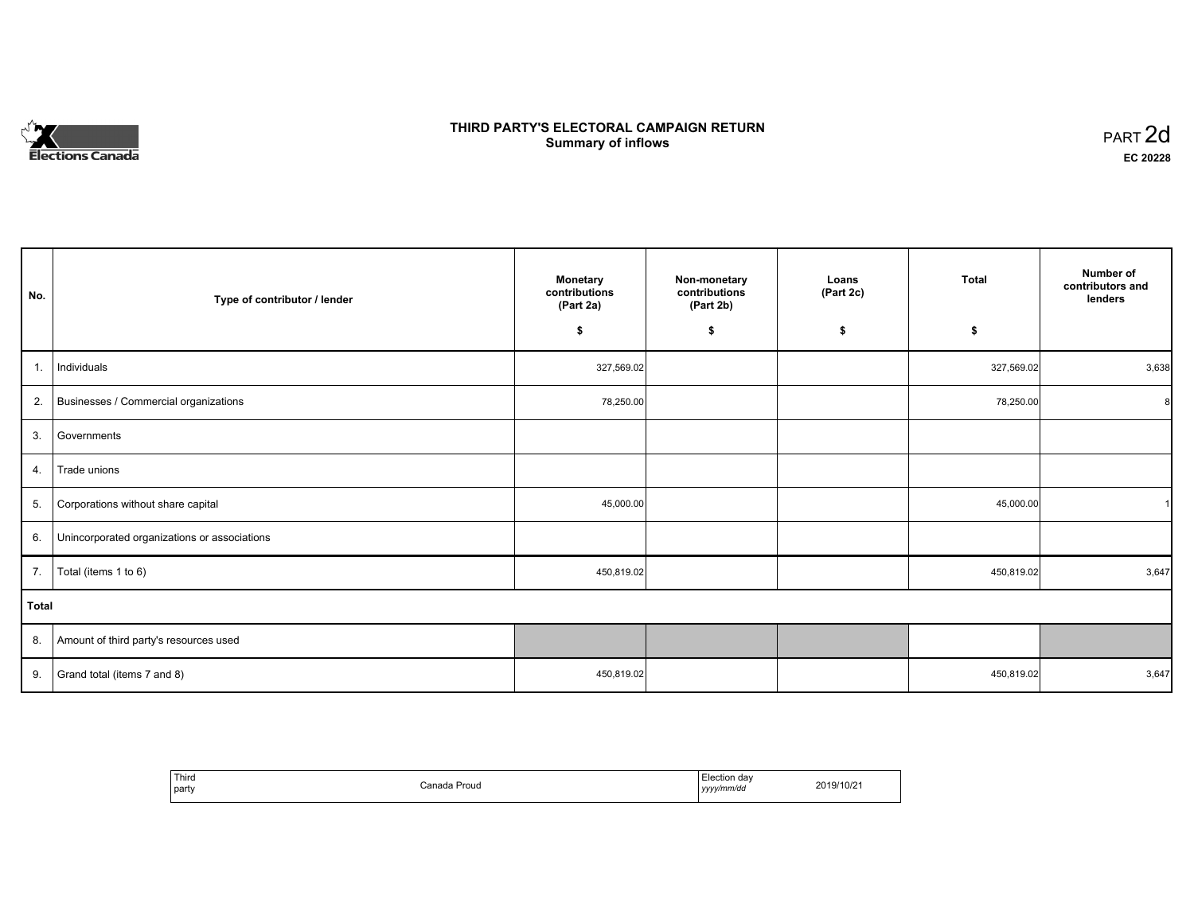# **Elections Canada**

# **THIRD PARTY'S ELECTORAL CAMPAIGN RETURN Summary of inflows**

| PART <sub>2d</sub> |  |
|--------------------|--|
| EC 20228           |  |

| No.          | Type of contributor / lender                 | <b>Monetary</b><br>contributions<br>(Part 2a) | Non-monetary<br>contributions<br>(Part 2b) | Loans<br>(Part 2c) | <b>Total</b> | Number of<br>contributors and<br>lenders |
|--------------|----------------------------------------------|-----------------------------------------------|--------------------------------------------|--------------------|--------------|------------------------------------------|
|              |                                              | \$                                            | \$                                         | \$                 | \$           |                                          |
| 1.           | Individuals                                  | 327,569.02                                    |                                            |                    | 327,569.02   | 3,638                                    |
| 2.           | Businesses / Commercial organizations        | 78,250.00                                     |                                            |                    | 78,250.00    | 8                                        |
| 3.           | Governments                                  |                                               |                                            |                    |              |                                          |
| 4.           | Trade unions                                 |                                               |                                            |                    |              |                                          |
| 5.           | Corporations without share capital           | 45,000.00                                     |                                            |                    | 45,000.00    |                                          |
| 6.           | Unincorporated organizations or associations |                                               |                                            |                    |              |                                          |
| 7.           | Total (items 1 to 6)                         | 450,819.02                                    |                                            |                    | 450,819.02   | 3,647                                    |
| <b>Total</b> |                                              |                                               |                                            |                    |              |                                          |
| 8.           | Amount of third party's resources used       |                                               |                                            |                    |              |                                          |
| 9.           | Grand total (items 7 and 8)                  | 450,819.02                                    |                                            |                    | 450,819.02   | 3,647                                    |

| Third<br>party | Canada Proud | Election dav<br>yyyy/mm/dd<br>yyyy. | 2019/10/21 |
|----------------|--------------|-------------------------------------|------------|
|----------------|--------------|-------------------------------------|------------|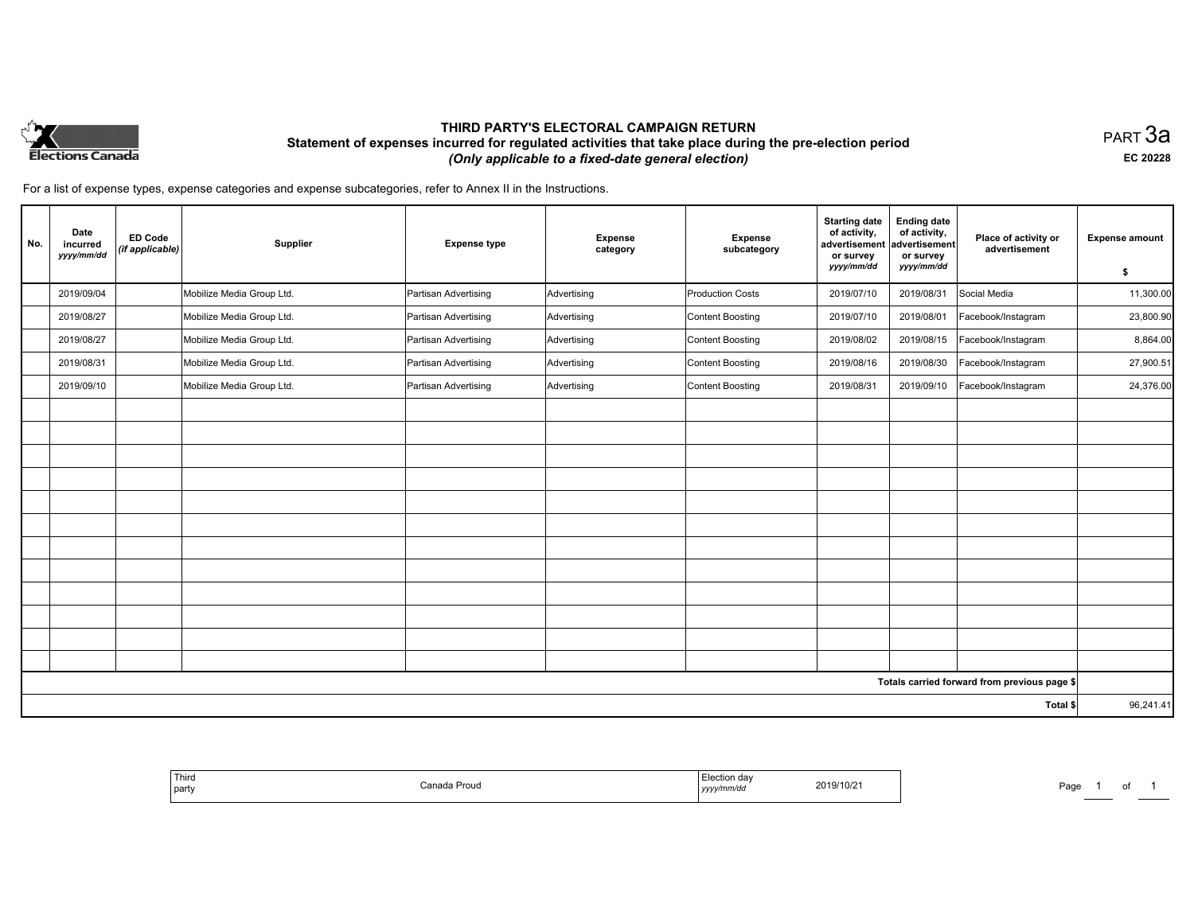

# **THIRD PARTY'S ELECTORAL CAMPAIGN RETURN Statement of expenses incurred for regulated activities that take place during the pre-election period**  *(Only applicable to a fixed-date general election)*

PART 3a **EC 20228**

For a list of expense types, expense categories and expense subcategories, refer to Annex II in the Instructions.

| No. | Date<br>incurred<br>yyyy/mm/dd | <b>ED Code</b><br>(if applicable) | Supplier                  | <b>Expense type</b>  | <b>Expense</b><br>category | <b>Expense</b><br>subcategory | <b>Starting date</b><br>of activity,<br>advertisement<br>or survey<br>yyyy/mm/dd | <b>Ending date</b><br>of activity,<br>advertisement<br>or survey<br>yyyy/mm/dd | Place of activity or<br>advertisement        | <b>Expense amount</b><br>\$ |
|-----|--------------------------------|-----------------------------------|---------------------------|----------------------|----------------------------|-------------------------------|----------------------------------------------------------------------------------|--------------------------------------------------------------------------------|----------------------------------------------|-----------------------------|
|     | 2019/09/04                     |                                   | Mobilize Media Group Ltd. | Partisan Advertising | Advertising                | <b>Production Costs</b>       | 2019/07/10                                                                       | 2019/08/31                                                                     | Social Media                                 | 11,300.00                   |
|     | 2019/08/27                     |                                   | Mobilize Media Group Ltd. | Partisan Advertising | Advertising                | Content Boosting              | 2019/07/10                                                                       | 2019/08/01                                                                     | Facebook/Instagram                           | 23,800.90                   |
|     | 2019/08/27                     |                                   | Mobilize Media Group Ltd. | Partisan Advertising | Advertising                | Content Boosting              | 2019/08/02                                                                       | 2019/08/15                                                                     | Facebook/Instagram                           | 8,864.00                    |
|     | 2019/08/31                     |                                   | Mobilize Media Group Ltd. | Partisan Advertising | Advertising                | Content Boosting              | 2019/08/16                                                                       | 2019/08/30                                                                     | Facebook/Instagram                           | 27,900.51                   |
|     | 2019/09/10                     |                                   | Mobilize Media Group Ltd. | Partisan Advertising | Advertising                | Content Boosting              | 2019/08/31                                                                       | 2019/09/10                                                                     | Facebook/Instagram                           | 24,376.00                   |
|     |                                |                                   |                           |                      |                            |                               |                                                                                  |                                                                                |                                              |                             |
|     |                                |                                   |                           |                      |                            |                               |                                                                                  |                                                                                |                                              |                             |
|     |                                |                                   |                           |                      |                            |                               |                                                                                  |                                                                                |                                              |                             |
|     |                                |                                   |                           |                      |                            |                               |                                                                                  |                                                                                |                                              |                             |
|     |                                |                                   |                           |                      |                            |                               |                                                                                  |                                                                                |                                              |                             |
|     |                                |                                   |                           |                      |                            |                               |                                                                                  |                                                                                |                                              |                             |
|     |                                |                                   |                           |                      |                            |                               |                                                                                  |                                                                                |                                              |                             |
|     |                                |                                   |                           |                      |                            |                               |                                                                                  |                                                                                |                                              |                             |
|     |                                |                                   |                           |                      |                            |                               |                                                                                  |                                                                                |                                              |                             |
|     |                                |                                   |                           |                      |                            |                               |                                                                                  |                                                                                |                                              |                             |
|     |                                |                                   |                           |                      |                            |                               |                                                                                  |                                                                                |                                              |                             |
|     |                                |                                   |                           |                      |                            |                               |                                                                                  |                                                                                |                                              |                             |
|     |                                |                                   |                           |                      |                            |                               |                                                                                  |                                                                                | Totals carried forward from previous page \$ |                             |
|     |                                |                                   |                           |                      |                            |                               |                                                                                  |                                                                                | Total \$                                     | 96,241.41                   |

| <sup>1</sup> Third<br>  party | n<br>`anar<br>Canada Proud | $ $ yyyy $\prime$ | 2019/10/21<br>the contract of the contract of the contract of the contract of the contract of | ∍∼מ<br>'au |  |  |  |
|-------------------------------|----------------------------|-------------------|-----------------------------------------------------------------------------------------------|------------|--|--|--|
|-------------------------------|----------------------------|-------------------|-----------------------------------------------------------------------------------------------|------------|--|--|--|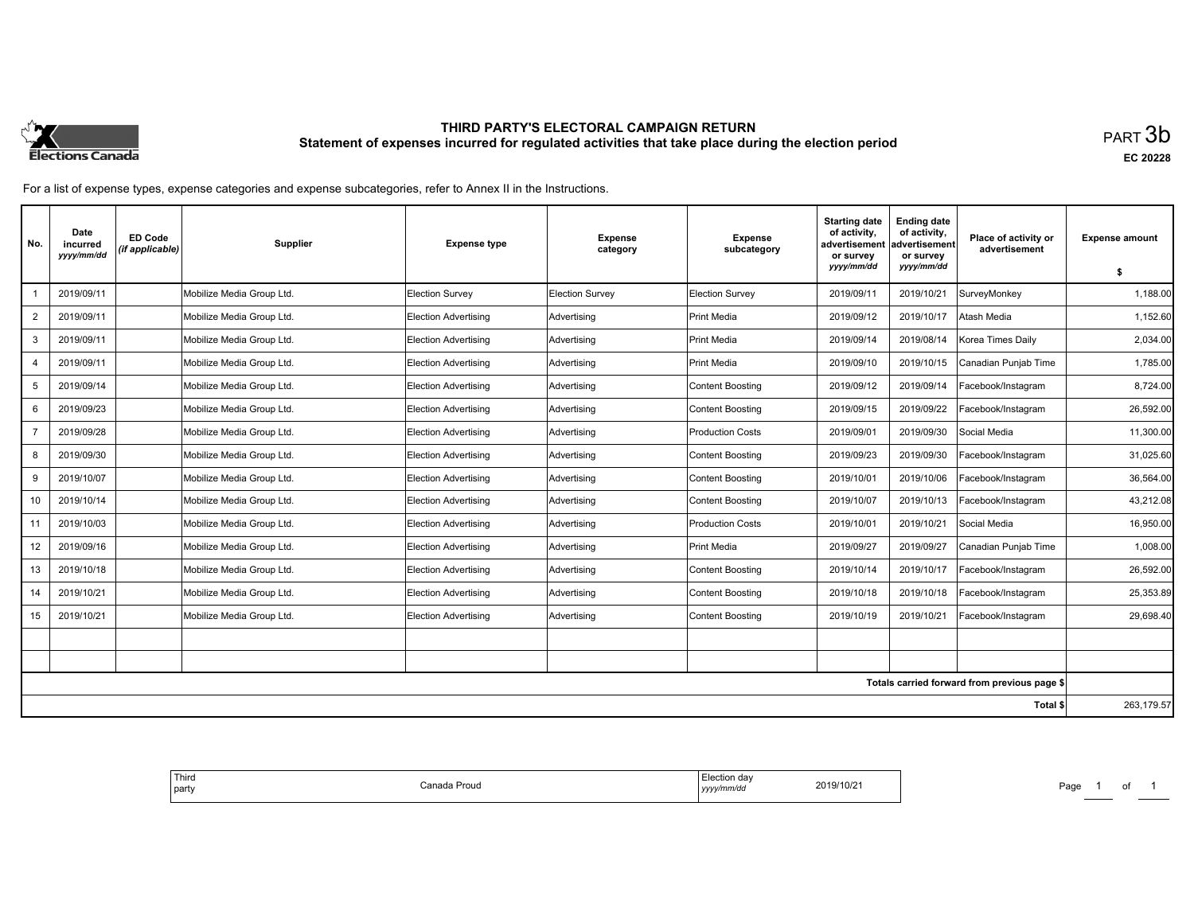

# **THIRD PARTY'S ELECTORAL CAMPAIGN RETURN Statement of expenses incurred for regulated activities that take place during the election period**<br>PART  $3\mathsf{b}$

**EC 20228**

For a list of expense types, expense categories and expense subcategories, refer to Annex II in the Instructions.

| No.            | Date<br>incurred<br>yyyy/mm/dd | <b>ED Code</b><br>(if applicable) | <b>Supplier</b>           | <b>Expense type</b>         | <b>Expense</b><br>category | <b>Expense</b><br>subcategory | <b>Starting date</b><br>of activity,<br>advertisement<br>or survey<br>yyyy/mm/dd | <b>Ending date</b><br>of activity,<br>advertisement<br>or survey<br>yyyy/mm/dd | Place of activity or<br>advertisement        |            |
|----------------|--------------------------------|-----------------------------------|---------------------------|-----------------------------|----------------------------|-------------------------------|----------------------------------------------------------------------------------|--------------------------------------------------------------------------------|----------------------------------------------|------------|
|                | 2019/09/11                     |                                   | Mobilize Media Group Ltd. | <b>Election Survey</b>      | <b>Election Survey</b>     | Election Survey               | 2019/09/11                                                                       | 2019/10/21                                                                     | SurveyMonkey                                 | 1.188.00   |
| $\overline{2}$ | 2019/09/11                     |                                   | Mobilize Media Group Ltd. | <b>Election Advertising</b> | Advertising                | Print Media                   | 2019/09/12                                                                       | 2019/10/17                                                                     | Atash Media                                  | 1,152.60   |
| 3              | 2019/09/11                     |                                   | Mobilize Media Group Ltd. | <b>Election Advertising</b> | Advertising                | Print Media                   | 2019/09/14                                                                       | 2019/08/14                                                                     | Korea Times Daily                            | 2,034.00   |
| $\overline{4}$ | 2019/09/11                     |                                   | Mobilize Media Group Ltd. | <b>Election Advertising</b> | Advertising                | Print Media                   | 2019/09/10                                                                       | 2019/10/15                                                                     | Canadian Punjab Time                         | 1,785.00   |
| 5              | 2019/09/14                     |                                   | Mobilize Media Group Ltd. | <b>Election Advertising</b> | Advertising                | Content Boosting              | 2019/09/12                                                                       | 2019/09/14                                                                     | Facebook/Instagram                           | 8,724.00   |
| 6              | 2019/09/23                     |                                   | Mobilize Media Group Ltd. | <b>Election Advertising</b> | Advertising                | Content Boosting              | 2019/09/15                                                                       | 2019/09/22                                                                     | Facebook/Instagram                           | 26,592.00  |
|                | 2019/09/28                     |                                   | Mobilize Media Group Ltd. | <b>Election Advertising</b> | Advertising                | <b>Production Costs</b>       | 2019/09/01                                                                       | 2019/09/30                                                                     | Social Media                                 | 11,300.00  |
| 8              | 2019/09/30                     |                                   | Mobilize Media Group Ltd. | <b>Election Advertising</b> | Advertising                | Content Boosting              | 2019/09/23                                                                       | 2019/09/30                                                                     | Facebook/Instagram                           | 31,025.60  |
| 9              | 2019/10/07                     |                                   | Mobilize Media Group Ltd. | <b>Election Advertising</b> | Advertising                | Content Boosting              | 2019/10/01                                                                       | 2019/10/06                                                                     | Facebook/Instagram                           | 36,564.00  |
| 10             | 2019/10/14                     |                                   | Mobilize Media Group Ltd. | <b>Election Advertising</b> | Advertising                | Content Boosting              | 2019/10/07                                                                       | 2019/10/13                                                                     | Facebook/Instagram                           | 43,212.08  |
| 11             | 2019/10/03                     |                                   | Mobilize Media Group Ltd. | <b>Election Advertising</b> | Advertising                | Production Costs              | 2019/10/01                                                                       | 2019/10/21                                                                     | Social Media                                 | 16.950.00  |
| 12             | 2019/09/16                     |                                   | Mobilize Media Group Ltd. | Election Advertisina        | Advertising                | <b>Print Media</b>            | 2019/09/27                                                                       | 2019/09/27                                                                     | Canadian Punjab Time                         | 1.008.00   |
| 13             | 2019/10/18                     |                                   | Mobilize Media Group Ltd. | <b>Election Advertising</b> | Advertising                | Content Boosting              | 2019/10/14                                                                       | 2019/10/17                                                                     | Facebook/Instagram                           | 26,592.00  |
| 14             | 2019/10/21                     |                                   | Mobilize Media Group Ltd. | <b>Election Advertising</b> | Advertising                | Content Boosting              | 2019/10/18                                                                       | 2019/10/18                                                                     | Facebook/Instagram                           | 25,353.89  |
| 15             | 2019/10/21                     |                                   | Mobilize Media Group Ltd. | <b>Election Advertising</b> | Advertising                | Content Boosting              | 2019/10/19                                                                       | 2019/10/21                                                                     | Facebook/Instagram                           | 29,698.40  |
|                |                                |                                   |                           |                             |                            |                               |                                                                                  |                                                                                |                                              |            |
|                |                                |                                   |                           |                             |                            |                               |                                                                                  |                                                                                |                                              |            |
|                |                                |                                   |                           |                             |                            |                               |                                                                                  |                                                                                | Totals carried forward from previous page \$ |            |
|                |                                |                                   |                           |                             |                            |                               |                                                                                  |                                                                                | Total \$                                     | 263,179.57 |

|--|

Page 1 of 1